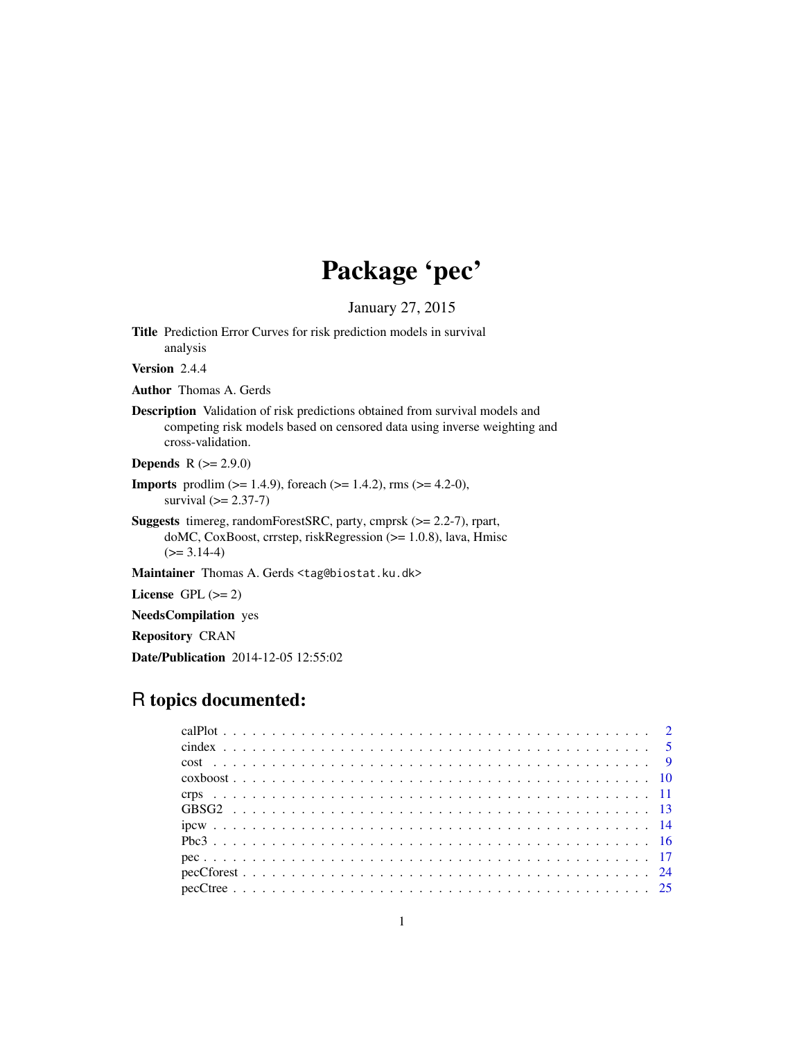# Package 'pec'

January 27, 2015

<span id="page-0-0"></span>Title Prediction Error Curves for risk prediction models in survival analysis

Version 2.4.4

Author Thomas A. Gerds

Description Validation of risk predictions obtained from survival models and competing risk models based on censored data using inverse weighting and cross-validation.

**Depends**  $R (= 2.9.0)$ 

**Imports** prodlim  $(>= 1.4.9)$ , foreach  $(>= 1.4.2)$ , rms  $(>= 4.2-0)$ , survival  $(>= 2.37 - 7)$ 

Suggests timereg, randomForestSRC, party, cmprsk (>= 2.2-7), rpart, doMC, CoxBoost, crrstep, riskRegression (>= 1.0.8), lava, Hmisc  $(>= 3.14-4)$ 

Maintainer Thomas A. Gerds <tag@biostat.ku.dk>

License GPL  $(>= 2)$ 

NeedsCompilation yes

Repository CRAN

Date/Publication 2014-12-05 12:55:02

# R topics documented: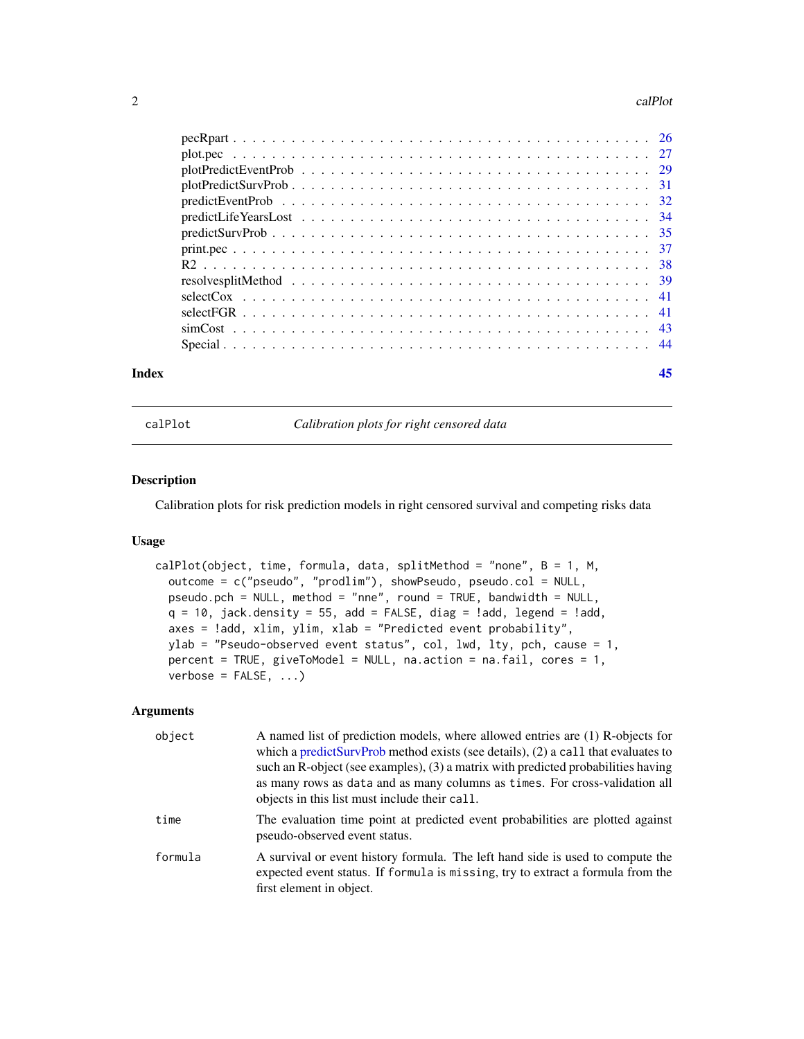#### <span id="page-1-0"></span>2 calPlot

| Index |                                                                                                             |  |
|-------|-------------------------------------------------------------------------------------------------------------|--|
|       |                                                                                                             |  |
|       |                                                                                                             |  |
|       |                                                                                                             |  |
|       |                                                                                                             |  |
|       |                                                                                                             |  |
|       |                                                                                                             |  |
|       |                                                                                                             |  |
|       |                                                                                                             |  |
|       | predictLife YearsLost $\ldots \ldots \ldots \ldots \ldots \ldots \ldots \ldots \ldots \ldots \ldots \ldots$ |  |
|       |                                                                                                             |  |
|       |                                                                                                             |  |
|       |                                                                                                             |  |
|       |                                                                                                             |  |
|       |                                                                                                             |  |

calPlot *Calibration plots for right censored data*

#### Description

Calibration plots for risk prediction models in right censored survival and competing risks data

# Usage

```
calPlot(object, time, formula, data, splitMethod = "none", B = 1, M,
  outcome = c("pseudo", "prodlim"), showPseudo, pseudo.col = NULL,
 pseudo.pch = NULL, method = "nne", round = TRUE, bandwidth = NULL,
 q = 10, jack.density = 55, add = FALSE, diag = !add, legend = !add,
  axes = !add, xlim, ylim, xlab = "Predicted event probability",
 ylab = "Pseudo-observed event status", col, lwd, lty, pch, cause = 1,
 percent = TRUE, giveToModel = NULL, na.action = na.fail, cores = 1,
  verbose = FALSE, ...)
```
# Arguments

| object  | A named list of prediction models, where allowed entries are (1) R-objects for<br>which a predictSurvProb method exists (see details), (2) a call that evaluates to<br>such an R-object (see examples), (3) a matrix with predicted probabilities having<br>as many rows as data and as many columns as times. For cross-validation all<br>objects in this list must include their call. |
|---------|------------------------------------------------------------------------------------------------------------------------------------------------------------------------------------------------------------------------------------------------------------------------------------------------------------------------------------------------------------------------------------------|
| time    | The evaluation time point at predicted event probabilities are plotted against<br>pseudo-observed event status.                                                                                                                                                                                                                                                                          |
| formula | A survival or event history formula. The left hand side is used to compute the<br>expected event status. If formula is missing, try to extract a formula from the<br>first element in object.                                                                                                                                                                                            |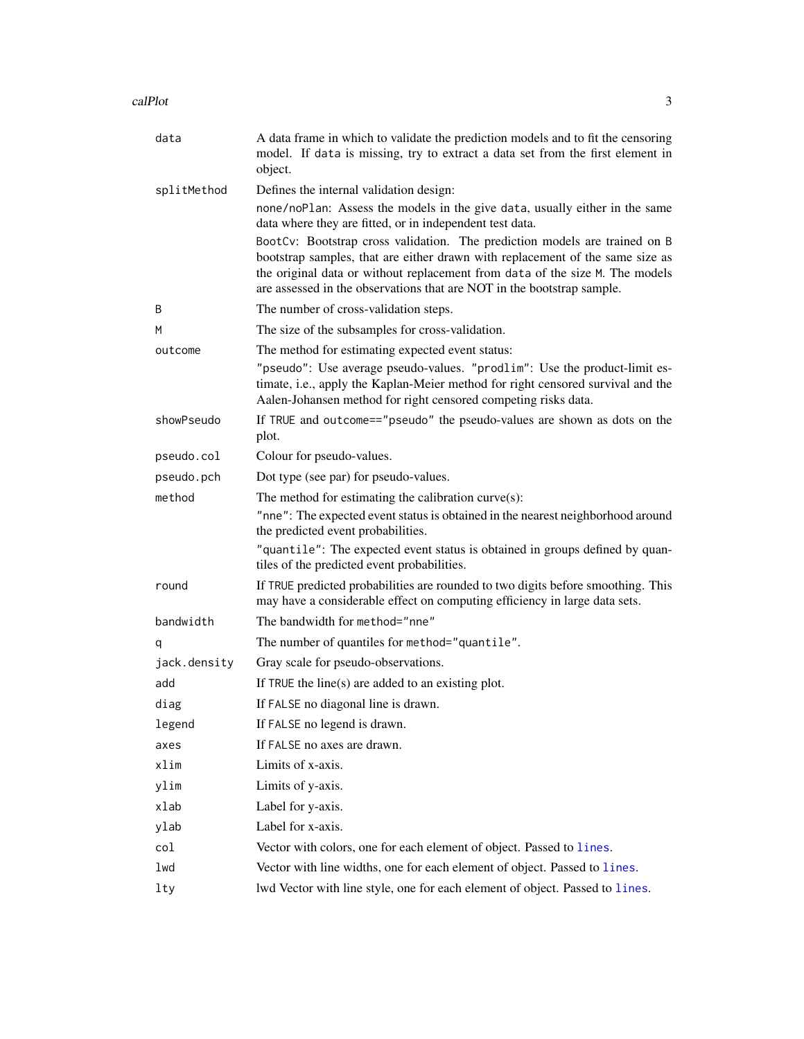#### <span id="page-2-0"></span>calPlot 3

| data         | A data frame in which to validate the prediction models and to fit the censoring<br>model. If data is missing, try to extract a data set from the first element in<br>object.                                                                                                                                         |
|--------------|-----------------------------------------------------------------------------------------------------------------------------------------------------------------------------------------------------------------------------------------------------------------------------------------------------------------------|
| splitMethod  | Defines the internal validation design:                                                                                                                                                                                                                                                                               |
|              | none/noPlan: Assess the models in the give data, usually either in the same<br>data where they are fitted, or in independent test data.                                                                                                                                                                               |
|              | BootCv: Bootstrap cross validation. The prediction models are trained on B<br>bootstrap samples, that are either drawn with replacement of the same size as<br>the original data or without replacement from data of the size M. The models<br>are assessed in the observations that are NOT in the bootstrap sample. |
| B            | The number of cross-validation steps.                                                                                                                                                                                                                                                                                 |
| M            | The size of the subsamples for cross-validation.                                                                                                                                                                                                                                                                      |
| outcome      | The method for estimating expected event status:                                                                                                                                                                                                                                                                      |
|              | "pseudo": Use average pseudo-values. "prodlim": Use the product-limit es-<br>timate, i.e., apply the Kaplan-Meier method for right censored survival and the<br>Aalen-Johansen method for right censored competing risks data.                                                                                        |
| showPseudo   | If TRUE and outcome=="pseudo" the pseudo-values are shown as dots on the<br>plot.                                                                                                                                                                                                                                     |
| pseudo.col   | Colour for pseudo-values.                                                                                                                                                                                                                                                                                             |
| pseudo.pch   | Dot type (see par) for pseudo-values.                                                                                                                                                                                                                                                                                 |
| method       | The method for estimating the calibration curve $(s)$ :<br>"nne": The expected event status is obtained in the nearest neighborhood around<br>the predicted event probabilities.                                                                                                                                      |
|              | "quantile": The expected event status is obtained in groups defined by quan-<br>tiles of the predicted event probabilities.                                                                                                                                                                                           |
| round        | If TRUE predicted probabilities are rounded to two digits before smoothing. This<br>may have a considerable effect on computing efficiency in large data sets.                                                                                                                                                        |
| bandwidth    | The bandwidth for method="nne"                                                                                                                                                                                                                                                                                        |
| q            | The number of quantiles for method="quantile".                                                                                                                                                                                                                                                                        |
| jack.density | Gray scale for pseudo-observations.                                                                                                                                                                                                                                                                                   |
| add          | If TRUE the line(s) are added to an existing plot.                                                                                                                                                                                                                                                                    |
| diag         | If FALSE no diagonal line is drawn.                                                                                                                                                                                                                                                                                   |
| legend       | If FALSE no legend is drawn.                                                                                                                                                                                                                                                                                          |
| axes         | If FALSE no axes are drawn.                                                                                                                                                                                                                                                                                           |
| xlim         | Limits of x-axis.                                                                                                                                                                                                                                                                                                     |
| ylim         | Limits of y-axis.                                                                                                                                                                                                                                                                                                     |
| xlab         | Label for y-axis.                                                                                                                                                                                                                                                                                                     |
| ylab         | Label for x-axis.                                                                                                                                                                                                                                                                                                     |
| col          | Vector with colors, one for each element of object. Passed to lines.                                                                                                                                                                                                                                                  |
| lwd          | Vector with line widths, one for each element of object. Passed to lines.                                                                                                                                                                                                                                             |
| lty          | lwd Vector with line style, one for each element of object. Passed to lines.                                                                                                                                                                                                                                          |
|              |                                                                                                                                                                                                                                                                                                                       |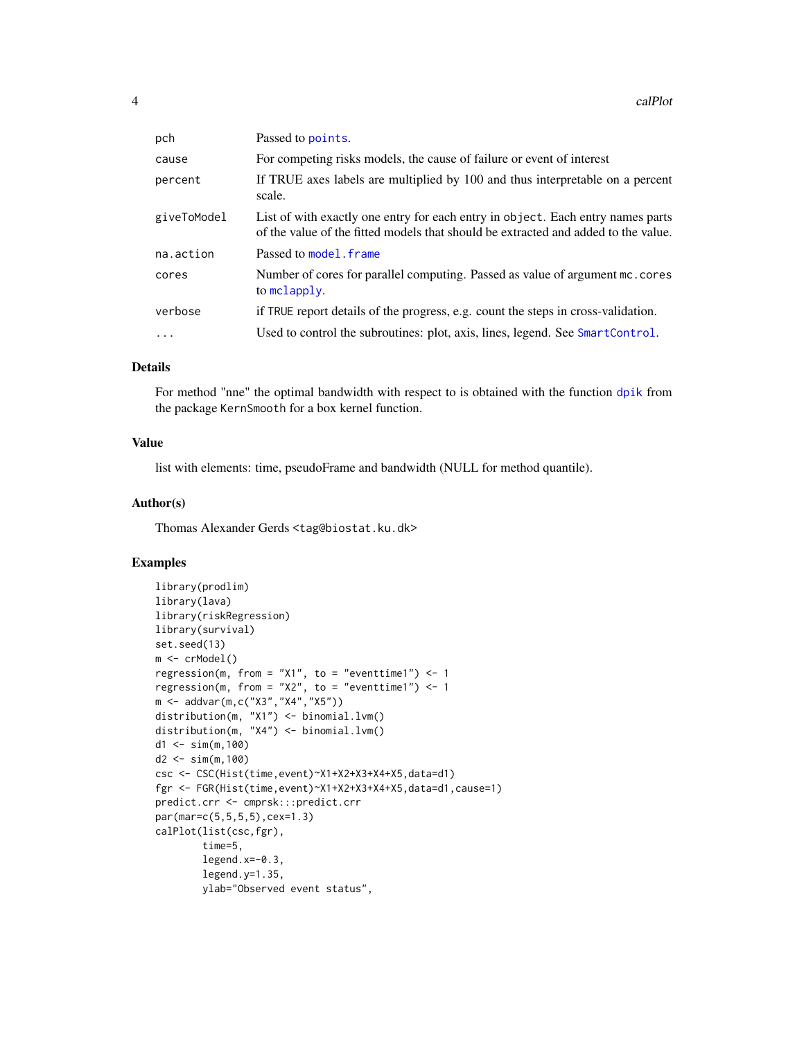<span id="page-3-0"></span>

| pch         | Passed to points.                                                                                                                                                     |
|-------------|-----------------------------------------------------------------------------------------------------------------------------------------------------------------------|
| cause       | For competing risks models, the cause of failure or event of interest                                                                                                 |
| percent     | If TRUE axes labels are multiplied by 100 and thus interpretable on a percent<br>scale.                                                                               |
| giveToModel | List of with exactly one entry for each entry in object. Each entry names parts<br>of the value of the fitted models that should be extracted and added to the value. |
| na.action   | Passed to model, frame                                                                                                                                                |
| cores       | Number of cores for parallel computing. Passed as value of argument mc. cores<br>to mclapply.                                                                         |
| verbose     | if TRUE report details of the progress, e.g. count the steps in cross-validation.                                                                                     |
| $\ddots$ .  | Used to control the subroutines: plot, axis, lines, legend. See SmartControl.                                                                                         |
|             |                                                                                                                                                                       |

# Details

For method "nne" the optimal bandwidth with respect to is obtained with the function [dpik](#page-0-0) from the package KernSmooth for a box kernel function.

#### Value

list with elements: time, pseudoFrame and bandwidth (NULL for method quantile).

#### Author(s)

Thomas Alexander Gerds <tag@biostat.ku.dk>

# Examples

```
library(prodlim)
library(lava)
library(riskRegression)
library(survival)
set.seed(13)
m <- crModel()
regression(m, from = "X1", to = "eventtime1") <-1regression(m, from = "X2", to = "eventtime1") <-1m <- addvar(m,c("X3","X4","X5"))
distribution(m, "X1") <- binomial.lvm()
distribution(m, "X4") <- binomial.lvm()
d1 < -\sin(m, 100)d2 < - \sin(m, 100)csc <- CSC(Hist(time,event)~X1+X2+X3+X4+X5,data=d1)
fgr <- FGR(Hist(time,event)~X1+X2+X3+X4+X5,data=d1,cause=1)
predict.crr <- cmprsk:::predict.crr
par(mar=c(5,5,5,5),cex=1.3)
calPlot(list(csc,fgr),
        time=5,
       legend.x=-0.3,
       legend.y=1.35,
        ylab="Observed event status",
```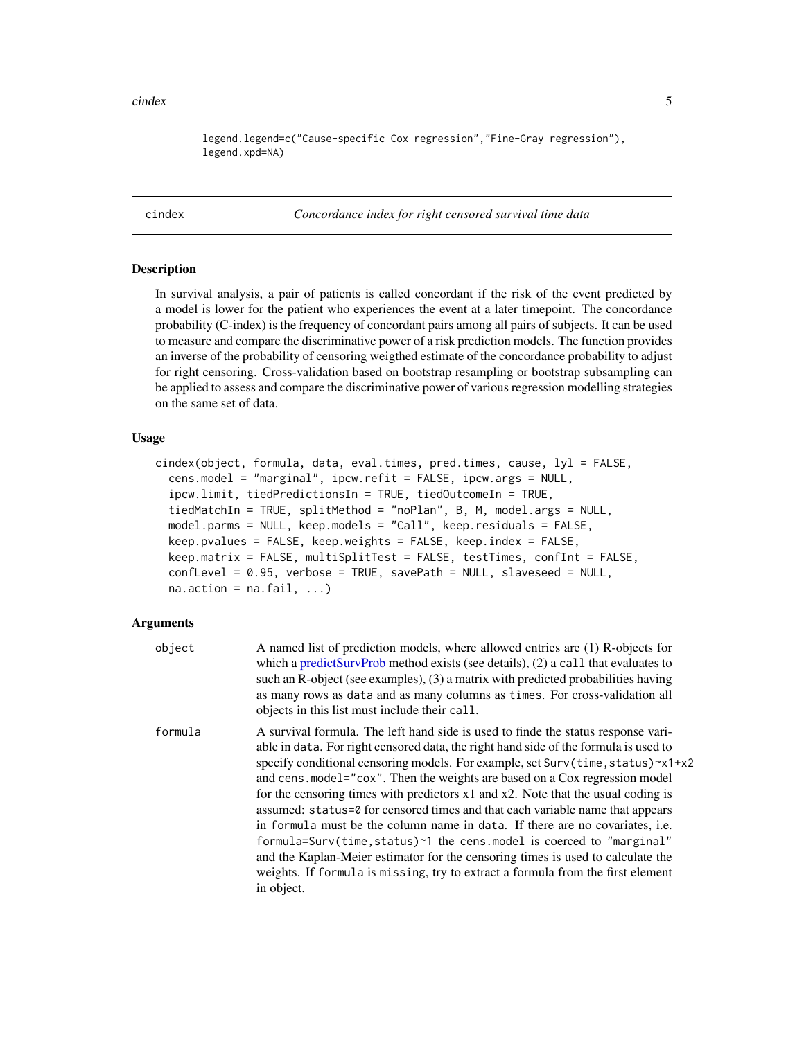<span id="page-4-0"></span>cindex 5

legend.legend=c("Cause-specific Cox regression","Fine-Gray regression"), legend.xpd=NA)

cindex *Concordance index for right censored survival time data*

# **Description**

In survival analysis, a pair of patients is called concordant if the risk of the event predicted by a model is lower for the patient who experiences the event at a later timepoint. The concordance probability (C-index) is the frequency of concordant pairs among all pairs of subjects. It can be used to measure and compare the discriminative power of a risk prediction models. The function provides an inverse of the probability of censoring weigthed estimate of the concordance probability to adjust for right censoring. Cross-validation based on bootstrap resampling or bootstrap subsampling can be applied to assess and compare the discriminative power of various regression modelling strategies on the same set of data.

# Usage

```
cindex(object, formula, data, eval.times, pred.times, cause, lyl = FALSE,
  cens.model = "marginal", ipcw.refit = FALSE, ipcw.args = NULL,
  ipcw.limit, tiedPredictionsIn = TRUE, tiedOutcomeIn = TRUE,
  tiedMatchIn = TRUE, splitMethod = "noPlan", B, M, model.args = NULL,
  model.parms = NULL, keep.models = "Call", keep.residuals = FALSE,
  keep.pvalues = FALSE, keep.weights = FALSE, keep.index = FALSE,
  keep.matrix = FALSE, multiSplitTest = FALSE, testTimes, confInt = FALSE,
 confLevel = 0.95, verbose = TRUE, savePath = NULL, slaveseed = NULL,
  na. action = na. fail, ...
```
# Arguments

| object  | A named list of prediction models, where allowed entries are (1) R-objects for<br>which a predictSurvProb method exists (see details), (2) a call that evaluates to<br>such an R-object (see examples), (3) a matrix with predicted probabilities having<br>as many rows as data and as many columns as times. For cross-validation all<br>objects in this list must include their call.                                                                                                                                                                                                                                                                                                                                                                                                                                                                          |
|---------|-------------------------------------------------------------------------------------------------------------------------------------------------------------------------------------------------------------------------------------------------------------------------------------------------------------------------------------------------------------------------------------------------------------------------------------------------------------------------------------------------------------------------------------------------------------------------------------------------------------------------------------------------------------------------------------------------------------------------------------------------------------------------------------------------------------------------------------------------------------------|
| formula | A survival formula. The left hand side is used to finde the status response vari-<br>able in data. For right censored data, the right hand side of the formula is used to<br>specify conditional censoring models. For example, set Surv(time, status)~x1+x2<br>and cens. model="cox". Then the weights are based on a Cox regression model<br>for the censoring times with predictors $x1$ and $x2$ . Note that the usual coding is<br>assumed: status=0 for censored times and that each variable name that appears<br>in formula must be the column name in data. If there are no covariates, i.e.<br>formula=Surv(time, status)~1 the cens.model is coerced to "marginal"<br>and the Kaplan-Meier estimator for the censoring times is used to calculate the<br>weights. If formula is missing, try to extract a formula from the first element<br>in object. |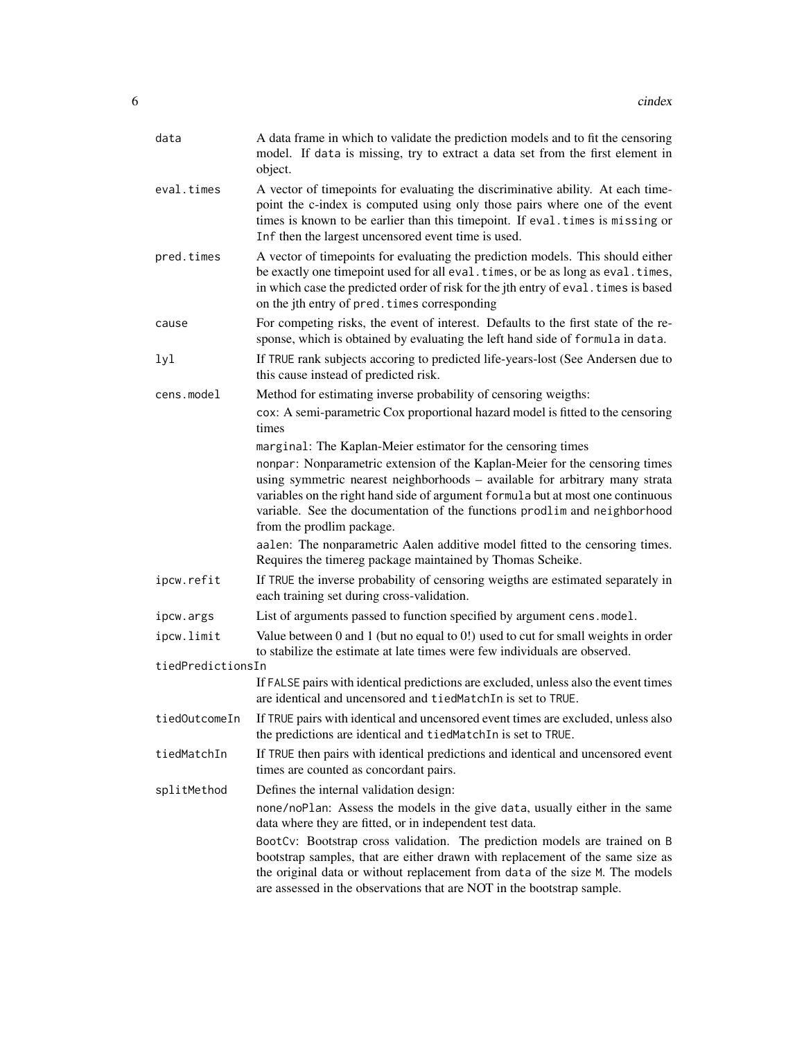| data              | A data frame in which to validate the prediction models and to fit the censoring<br>model. If data is missing, try to extract a data set from the first element in<br>object.                                                                                                                                                                           |
|-------------------|---------------------------------------------------------------------------------------------------------------------------------------------------------------------------------------------------------------------------------------------------------------------------------------------------------------------------------------------------------|
| eval.times        | A vector of timepoints for evaluating the discriminative ability. At each time-<br>point the c-index is computed using only those pairs where one of the event<br>times is known to be earlier than this timepoint. If eval.times is missing or<br>Inf then the largest uncensored event time is used.                                                  |
| pred.times        | A vector of timepoints for evaluating the prediction models. This should either<br>be exactly one timepoint used for all eval. times, or be as long as eval. times,<br>in which case the predicted order of risk for the jth entry of eval. times is based<br>on the jth entry of pred. times corresponding                                             |
| cause             | For competing risks, the event of interest. Defaults to the first state of the re-<br>sponse, which is obtained by evaluating the left hand side of formula in data.                                                                                                                                                                                    |
| 1y1               | If TRUE rank subjects accoring to predicted life-years-lost (See Andersen due to<br>this cause instead of predicted risk.                                                                                                                                                                                                                               |
| cens.model        | Method for estimating inverse probability of censoring weigths:<br>cox: A semi-parametric Cox proportional hazard model is fitted to the censoring<br>times                                                                                                                                                                                             |
|                   | marginal: The Kaplan-Meier estimator for the censoring times                                                                                                                                                                                                                                                                                            |
|                   | nonpar: Nonparametric extension of the Kaplan-Meier for the censoring times<br>using symmetric nearest neighborhoods - available for arbitrary many strata<br>variables on the right hand side of argument formula but at most one continuous<br>variable. See the documentation of the functions prodlim and neighborhood<br>from the prodlim package. |
|                   | aalen: The nonparametric Aalen additive model fitted to the censoring times.<br>Requires the timereg package maintained by Thomas Scheike.                                                                                                                                                                                                              |
| ipcw.refit        | If TRUE the inverse probability of censoring weigths are estimated separately in<br>each training set during cross-validation.                                                                                                                                                                                                                          |
| ipcw.args         | List of arguments passed to function specified by argument cens.model.                                                                                                                                                                                                                                                                                  |
| ipcw.limit        | Value between $0$ and $1$ (but no equal to $0!$ ) used to cut for small weights in order<br>to stabilize the estimate at late times were few individuals are observed.                                                                                                                                                                                  |
| tiedPredictionsIn |                                                                                                                                                                                                                                                                                                                                                         |
|                   | If FALSE pairs with identical predictions are excluded, unless also the event times<br>are identical and uncensored and tiedMatchIn is set to TRUE.                                                                                                                                                                                                     |
| tiedOutcomeIn     | If TRUE pairs with identical and uncensored event times are excluded, unless also<br>the predictions are identical and tiedMatchIn is set to TRUE.                                                                                                                                                                                                      |
| tiedMatchIn       | If TRUE then pairs with identical predictions and identical and uncensored event<br>times are counted as concordant pairs.                                                                                                                                                                                                                              |
| splitMethod       | Defines the internal validation design:                                                                                                                                                                                                                                                                                                                 |
|                   | none/noPlan: Assess the models in the give data, usually either in the same<br>data where they are fitted, or in independent test data.                                                                                                                                                                                                                 |
|                   | BootCv: Bootstrap cross validation. The prediction models are trained on B<br>bootstrap samples, that are either drawn with replacement of the same size as<br>the original data or without replacement from data of the size M. The models<br>are assessed in the observations that are NOT in the bootstrap sample.                                   |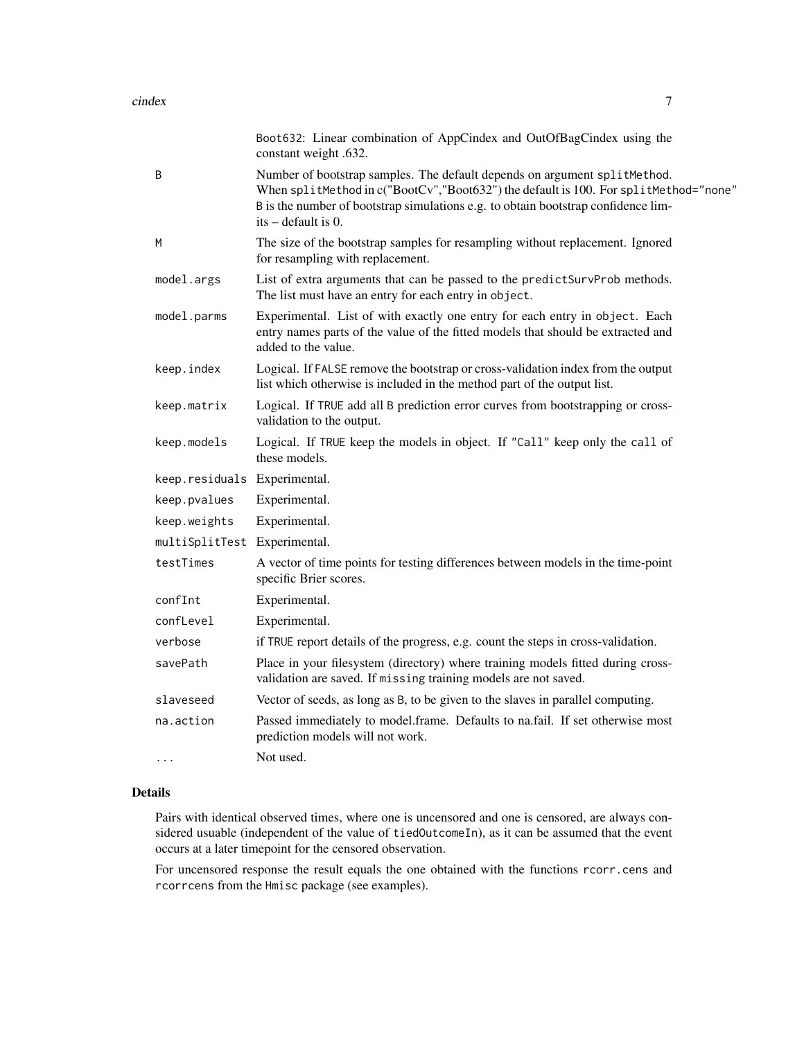|                              | Boot632: Linear combination of AppCindex and OutOfBagCindex using the<br>constant weight .632.                                                                                                                                                                                   |
|------------------------------|----------------------------------------------------------------------------------------------------------------------------------------------------------------------------------------------------------------------------------------------------------------------------------|
| B                            | Number of bootstrap samples. The default depends on argument splitMethod.<br>When splitMethod in c("BootCv", "Boot632") the default is 100. For splitMethod="none"<br>B is the number of bootstrap simulations e.g. to obtain bootstrap confidence lim-<br>$its$ – default is 0. |
| M                            | The size of the bootstrap samples for resampling without replacement. Ignored<br>for resampling with replacement.                                                                                                                                                                |
| model.args                   | List of extra arguments that can be passed to the predictSurvProb methods.<br>The list must have an entry for each entry in object.                                                                                                                                              |
| model.parms                  | Experimental. List of with exactly one entry for each entry in object. Each<br>entry names parts of the value of the fitted models that should be extracted and<br>added to the value.                                                                                           |
| keep.index                   | Logical. If FALSE remove the bootstrap or cross-validation index from the output<br>list which otherwise is included in the method part of the output list.                                                                                                                      |
| keep.matrix                  | Logical. If TRUE add all B prediction error curves from bootstrapping or cross-<br>validation to the output.                                                                                                                                                                     |
| keep.models                  | Logical. If TRUE keep the models in object. If "Call" keep only the call of<br>these models.                                                                                                                                                                                     |
| keep.residuals Experimental. |                                                                                                                                                                                                                                                                                  |
| keep.pvalues                 | Experimental.                                                                                                                                                                                                                                                                    |
| keep.weights                 | Experimental.                                                                                                                                                                                                                                                                    |
| multiSplitTest               | Experimental.                                                                                                                                                                                                                                                                    |
| testTimes                    | A vector of time points for testing differences between models in the time-point<br>specific Brier scores.                                                                                                                                                                       |
| confInt                      | Experimental.                                                                                                                                                                                                                                                                    |
| confLevel                    | Experimental.                                                                                                                                                                                                                                                                    |
| verbose                      | if TRUE report details of the progress, e.g. count the steps in cross-validation.                                                                                                                                                                                                |
| savePath                     | Place in your filesystem (directory) where training models fitted during cross-<br>validation are saved. If missing training models are not saved.                                                                                                                               |
| slaveseed                    | Vector of seeds, as long as B, to be given to the slaves in parallel computing.                                                                                                                                                                                                  |
| na.action                    | Passed immediately to model.frame. Defaults to na.fail. If set otherwise most<br>prediction models will not work.                                                                                                                                                                |
|                              | Not used.                                                                                                                                                                                                                                                                        |

#### Details

Pairs with identical observed times, where one is uncensored and one is censored, are always considered usuable (independent of the value of tiedOutcomeIn), as it can be assumed that the event occurs at a later timepoint for the censored observation.

For uncensored response the result equals the one obtained with the functions rcorr.cens and rcorrcens from the Hmisc package (see examples).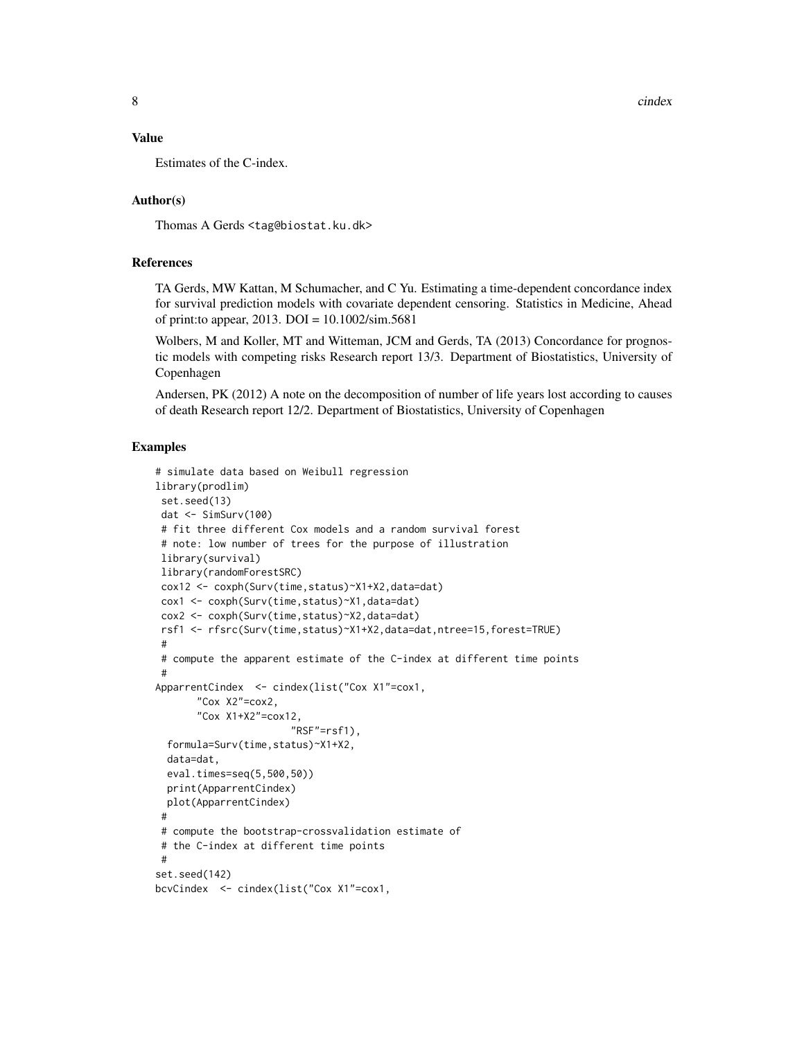#### Value

Estimates of the C-index.

# Author(s)

Thomas A Gerds <tag@biostat.ku.dk>

# References

TA Gerds, MW Kattan, M Schumacher, and C Yu. Estimating a time-dependent concordance index for survival prediction models with covariate dependent censoring. Statistics in Medicine, Ahead of print:to appear, 2013. DOI = 10.1002/sim.5681

Wolbers, M and Koller, MT and Witteman, JCM and Gerds, TA (2013) Concordance for prognostic models with competing risks Research report 13/3. Department of Biostatistics, University of Copenhagen

Andersen, PK (2012) A note on the decomposition of number of life years lost according to causes of death Research report 12/2. Department of Biostatistics, University of Copenhagen

#### Examples

```
# simulate data based on Weibull regression
library(prodlim)
set.seed(13)
dat <- SimSurv(100)
# fit three different Cox models and a random survival forest
# note: low number of trees for the purpose of illustration
library(survival)
library(randomForestSRC)
cox12 <- coxph(Surv(time,status)~X1+X2,data=dat)
 cox1 <- coxph(Surv(time,status)~X1,data=dat)
 cox2 <- coxph(Surv(time,status)~X2,data=dat)
 rsf1 <- rfsrc(Surv(time,status)~X1+X2,data=dat,ntree=15,forest=TRUE)
 #
 # compute the apparent estimate of the C-index at different time points
 #
ApparrentCindex <- cindex(list("Cox X1"=cox1,
      "Cox X2"=cox2,
      "Cox X1+X2"=cox12,
                       "RSF"=rsf1),
 formula=Surv(time,status)~X1+X2,
 data=dat,
 eval.times=seq(5,500,50))
 print(ApparrentCindex)
 plot(ApparrentCindex)
 #
 # compute the bootstrap-crossvalidation estimate of
 # the C-index at different time points
 #
set.seed(142)
bcvCindex <- cindex(list("Cox X1"=cox1,
```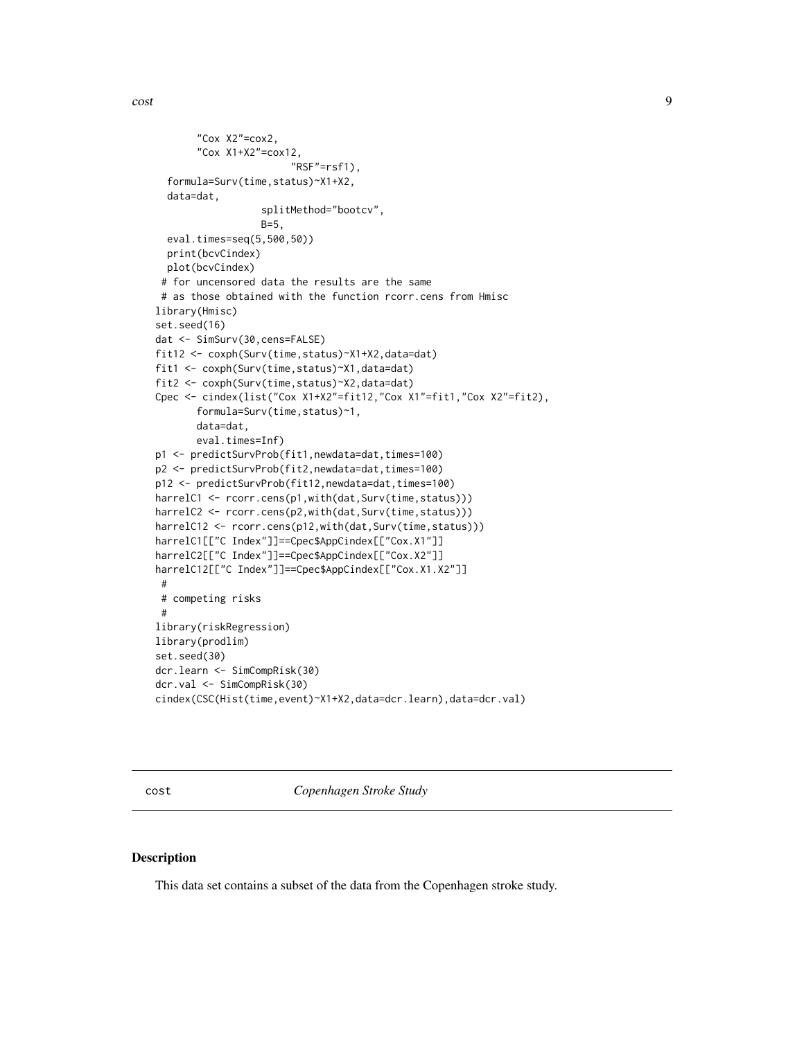<span id="page-8-0"></span> $\cos t$  9

```
"Cox X2"=cox2,
       "Cox X1+X2"=cox12,
                       "RSF"=rsf1),
 formula=Surv(time,status)~X1+X2,
 data=dat,
                  splitMethod="bootcv",
                  B=5,
 eval.times=seq(5,500,50))
 print(bcvCindex)
 plot(bcvCindex)
 # for uncensored data the results are the same
 # as those obtained with the function rcorr.cens from Hmisc
library(Hmisc)
set.seed(16)
dat <- SimSurv(30,cens=FALSE)
fit12 <- coxph(Surv(time,status)~X1+X2,data=dat)
fit1 <- coxph(Surv(time,status)~X1,data=dat)
fit2 <- coxph(Surv(time,status)~X2,data=dat)
Cpec <- cindex(list("Cox X1+X2"=fit12,"Cox X1"=fit1,"Cox X2"=fit2),
       formula=Surv(time,status)~1,
       data=dat,
       eval.times=Inf)
p1 <- predictSurvProb(fit1,newdata=dat,times=100)
p2 <- predictSurvProb(fit2,newdata=dat,times=100)
p12 <- predictSurvProb(fit12,newdata=dat,times=100)
harrelC1 <- rcorr.cens(p1,with(dat,Surv(time,status)))
harrelC2 <- rcorr.cens(p2,with(dat,Surv(time,status)))
harrelC12 <- rcorr.cens(p12,with(dat,Surv(time,status)))
harrelC1[["C Index"]]==Cpec$AppCindex[["Cox.X1"]]
harrelC2[["C Index"]]==Cpec$AppCindex[["Cox.X2"]]
harrelC12[["C Index"]]==Cpec$AppCindex[["Cox.X1.X2"]]
#
# competing risks
#
library(riskRegression)
library(prodlim)
set.seed(30)
dcr.learn <- SimCompRisk(30)
dcr.val <- SimCompRisk(30)
cindex(CSC(Hist(time,event)~X1+X2,data=dcr.learn),data=dcr.val)
```
cost *Copenhagen Stroke Study*

#### Description

This data set contains a subset of the data from the Copenhagen stroke study.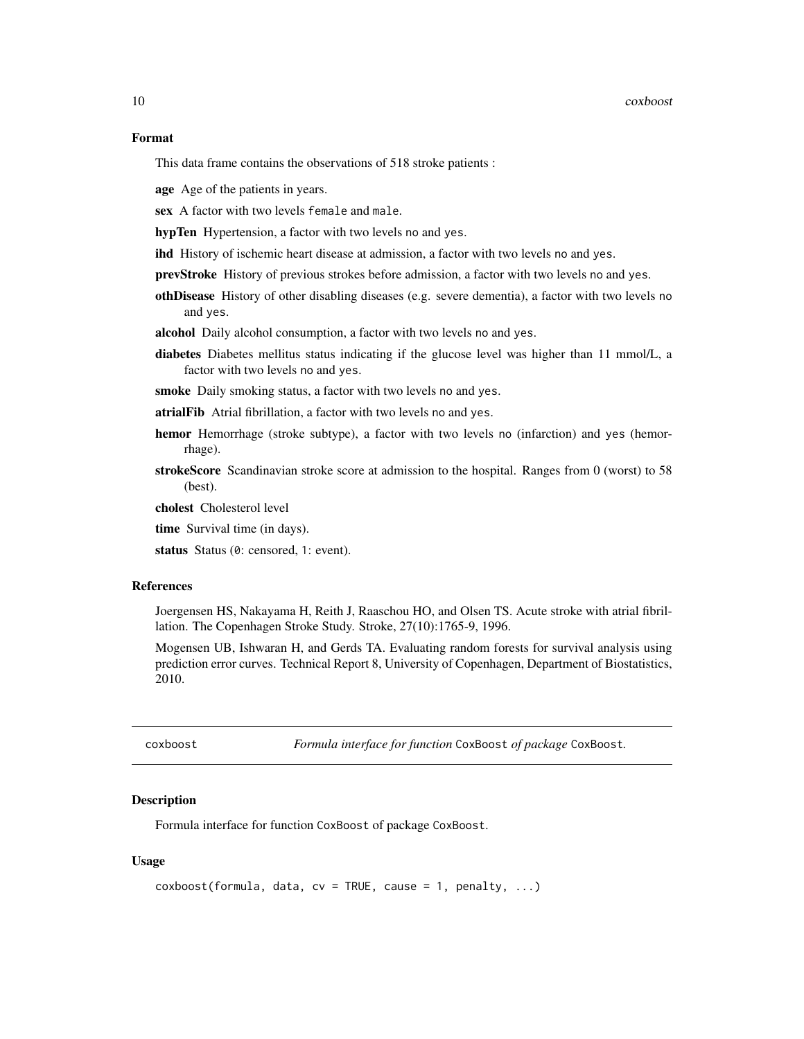#### <span id="page-9-0"></span>10 coxboost control of the control of the control of the control of the control of the control of the control of the control of the control of the control of the control of the control of the control of the control of the

#### Format

This data frame contains the observations of 518 stroke patients :

age Age of the patients in years.

sex A factor with two levels female and male.

hypTen Hypertension, a factor with two levels no and yes.

ihd History of ischemic heart disease at admission, a factor with two levels no and yes.

prevStroke History of previous strokes before admission, a factor with two levels no and yes.

othDisease History of other disabling diseases (e.g. severe dementia), a factor with two levels no and yes.

alcohol Daily alcohol consumption, a factor with two levels no and yes.

diabetes Diabetes mellitus status indicating if the glucose level was higher than 11 mmol/L, a factor with two levels no and yes.

smoke Daily smoking status, a factor with two levels no and yes.

atrialFib Atrial fibrillation, a factor with two levels no and yes.

- hemor Hemorrhage (stroke subtype), a factor with two levels no (infarction) and yes (hemorrhage).
- strokeScore Scandinavian stroke score at admission to the hospital. Ranges from 0 (worst) to 58 (best).

cholest Cholesterol level

time Survival time (in days).

status Status (0: censored, 1: event).

# References

Joergensen HS, Nakayama H, Reith J, Raaschou HO, and Olsen TS. Acute stroke with atrial fibrillation. The Copenhagen Stroke Study. Stroke, 27(10):1765-9, 1996.

Mogensen UB, Ishwaran H, and Gerds TA. Evaluating random forests for survival analysis using prediction error curves. Technical Report 8, University of Copenhagen, Department of Biostatistics, 2010.

coxboost *Formula interface for function* CoxBoost *of package* CoxBoost*.*

### Description

Formula interface for function CoxBoost of package CoxBoost.

#### Usage

```
covboost(formula, data, cv = TRUE, cause = 1, penalty, ...)
```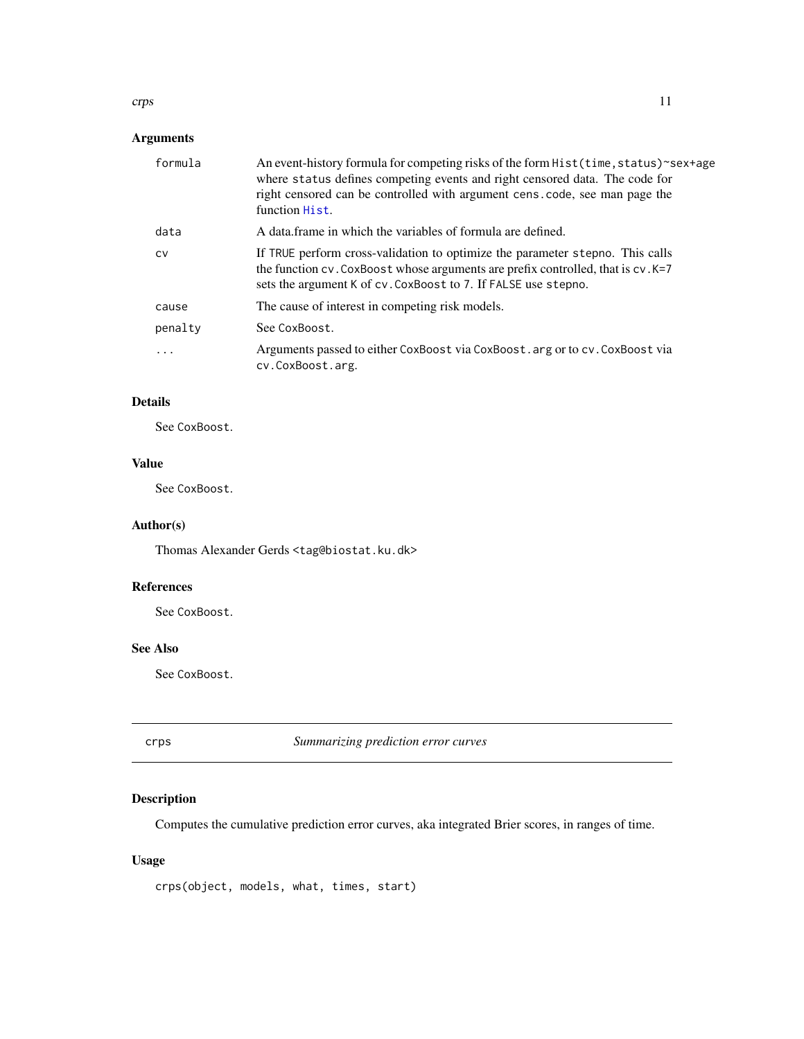#### <span id="page-10-0"></span>crps and the critical contract of the critical contract of the critical contract of the critical contract of the critical contract of the critical contract of the critical contract of the critical contract of the critical

# Arguments

| formula   | An event-history formula for competing risks of the form Hist(time, status)~sex+age<br>where status defines competing events and right censored data. The code for<br>right censored can be controlled with argument cens.code, see man page the<br>function Hist. |
|-----------|--------------------------------------------------------------------------------------------------------------------------------------------------------------------------------------------------------------------------------------------------------------------|
| data      | A data frame in which the variables of formula are defined.                                                                                                                                                                                                        |
| <b>CV</b> | If TRUE perform cross-validation to optimize the parameter stepno. This calls<br>the function cv. CoxBoost whose arguments are prefix controlled, that is cv. K=7<br>sets the argument K of cv. CoxBoost to 7. If FALSE use stepno.                                |
| cause     | The cause of interest in competing risk models.                                                                                                                                                                                                                    |
| penalty   | See CoxBoost.                                                                                                                                                                                                                                                      |
|           | Arguments passed to either CoxBoost via CoxBoost. arg or to cv. CoxBoost via<br>cv.CoxBoost.arg.                                                                                                                                                                   |

# Details

See CoxBoost.

# Value

See CoxBoost.

# Author(s)

Thomas Alexander Gerds <tag@biostat.ku.dk>

# References

See CoxBoost.

# See Also

See CoxBoost.

<span id="page-10-1"></span>crps *Summarizing prediction error curves*

# Description

Computes the cumulative prediction error curves, aka integrated Brier scores, in ranges of time.

# Usage

crps(object, models, what, times, start)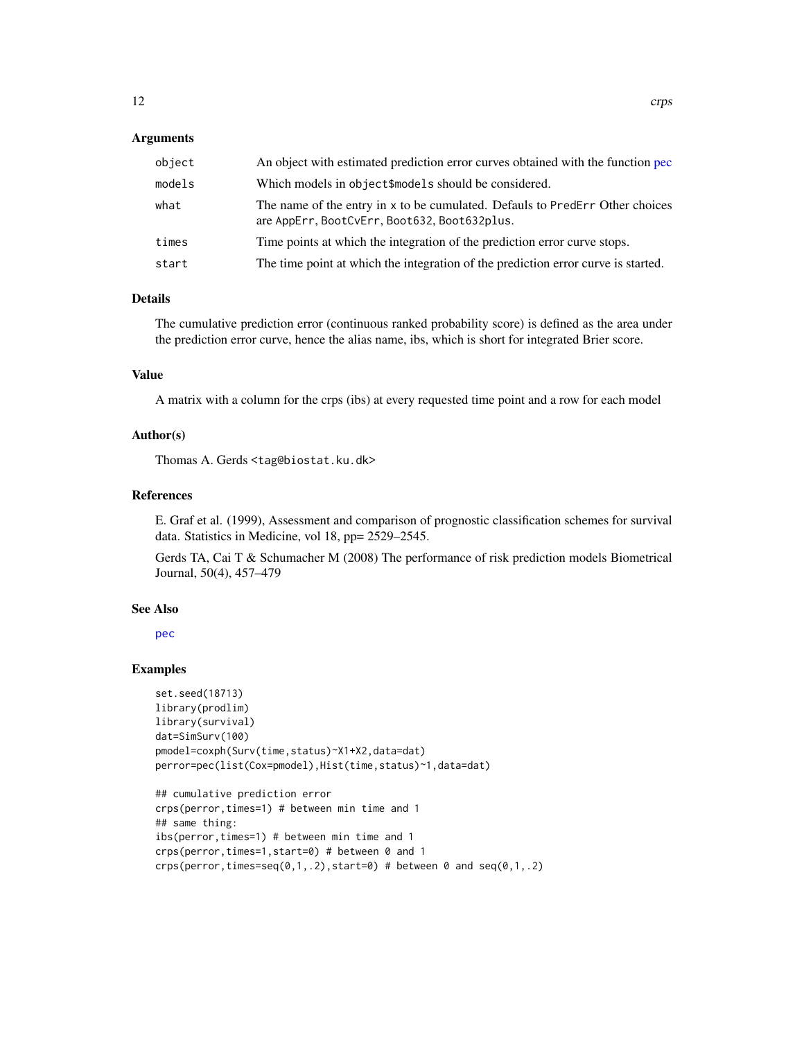#### <span id="page-11-0"></span>Arguments

| object | An object with estimated prediction error curves obtained with the function pec                                              |
|--------|------------------------------------------------------------------------------------------------------------------------------|
| models | Which models in object\$models should be considered.                                                                         |
| what   | The name of the entry in x to be cumulated. Defauls to PredErr Other choices<br>are AppErr, BootCvErr, Boot632, Boot632plus. |
| times  | Time points at which the integration of the prediction error curve stops.                                                    |
| start  | The time point at which the integration of the prediction error curve is started.                                            |

# Details

The cumulative prediction error (continuous ranked probability score) is defined as the area under the prediction error curve, hence the alias name, ibs, which is short for integrated Brier score.

# Value

A matrix with a column for the crps (ibs) at every requested time point and a row for each model

## Author(s)

Thomas A. Gerds <tag@biostat.ku.dk>

#### References

E. Graf et al. (1999), Assessment and comparison of prognostic classification schemes for survival data. Statistics in Medicine, vol 18, pp= 2529–2545.

Gerds TA, Cai T & Schumacher M (2008) The performance of risk prediction models Biometrical Journal, 50(4), 457–479

#### See Also

[pec](#page-16-1)

# Examples

```
set.seed(18713)
library(prodlim)
library(survival)
dat=SimSurv(100)
pmodel=coxph(Surv(time,status)~X1+X2,data=dat)
perror=pec(list(Cox=pmodel),Hist(time,status)~1,data=dat)
```

```
## cumulative prediction error
crps(perror,times=1) # between min time and 1
## same thing:
ibs(perror,times=1) # between min time and 1
crps(perror,times=1,start=0) # between 0 and 1
crys(perror, times=seq(0,1,.2), start=0) # between 0 and seq(0,1,.2)
```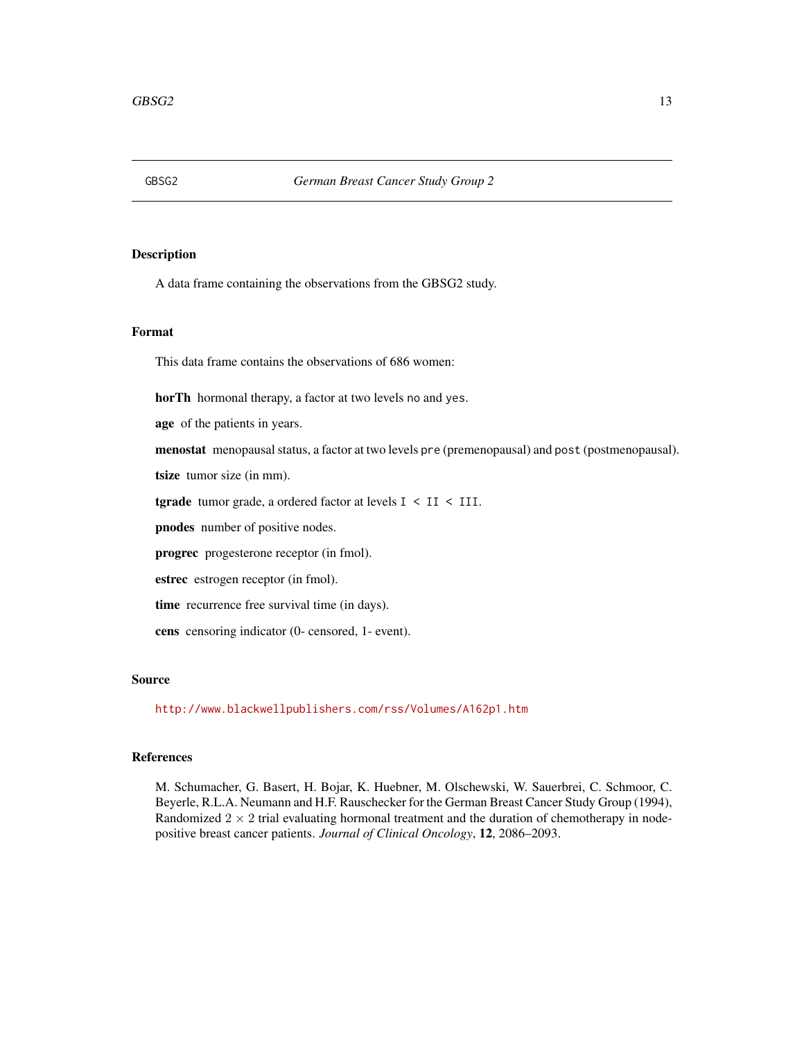<span id="page-12-0"></span>

# Description

A data frame containing the observations from the GBSG2 study.

# Format

This data frame contains the observations of 686 women:

horTh hormonal therapy, a factor at two levels no and yes.

age of the patients in years.

menostat menopausal status, a factor at two levels pre (premenopausal) and post (postmenopausal).

tsize tumor size (in mm).

**tgrade** tumor grade, a ordered factor at levels  $I \leq II \leq III$ .

pnodes number of positive nodes.

progrec progesterone receptor (in fmol).

estrec estrogen receptor (in fmol).

time recurrence free survival time (in days).

cens censoring indicator (0- censored, 1- event).

# Source

<http://www.blackwellpublishers.com/rss/Volumes/A162p1.htm>

# References

M. Schumacher, G. Basert, H. Bojar, K. Huebner, M. Olschewski, W. Sauerbrei, C. Schmoor, C. Beyerle, R.L.A. Neumann and H.F. Rauschecker for the German Breast Cancer Study Group (1994), Randomized  $2 \times 2$  trial evaluating hormonal treatment and the duration of chemotherapy in nodepositive breast cancer patients. *Journal of Clinical Oncology*, 12, 2086–2093.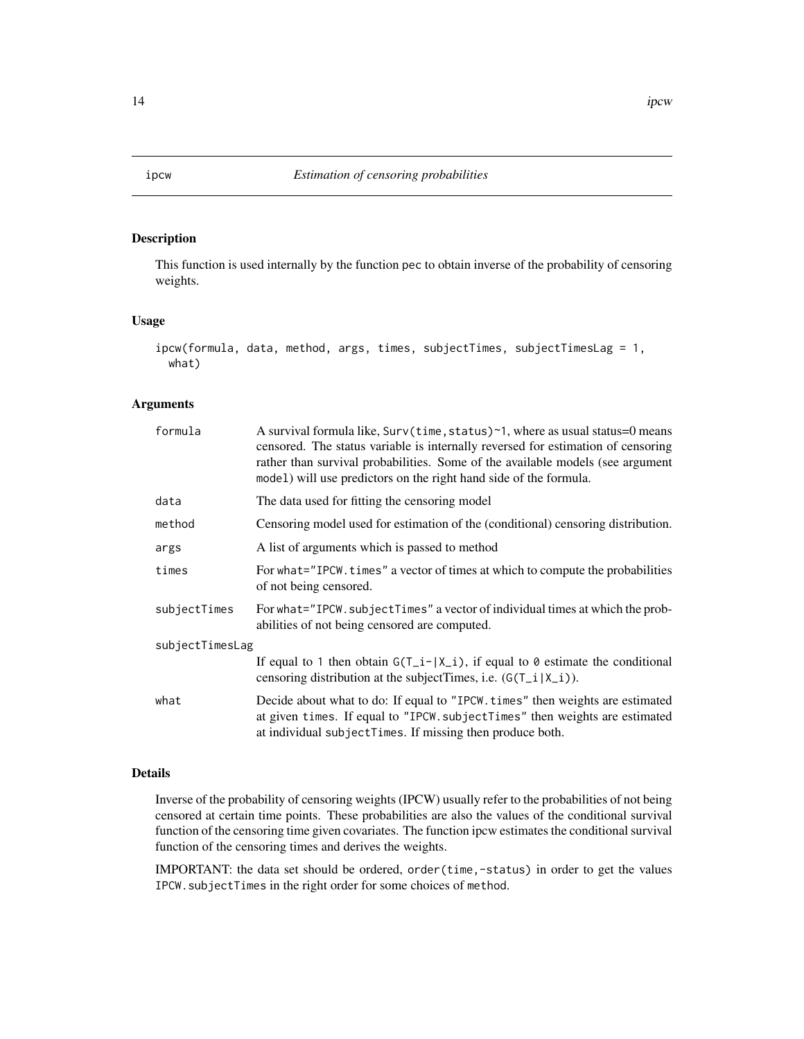# Description

This function is used internally by the function pec to obtain inverse of the probability of censoring weights.

#### Usage

```
ipcw(formula, data, method, args, times, subjectTimes, subjectTimesLag = 1,
 what)
```
# Arguments

| A survival formula like, $Surv$ (time, status) $\sim$ 1, where as usual status=0 means<br>censored. The status variable is internally reversed for estimation of censoring<br>rather than survival probabilities. Some of the available models (see argument<br>model) will use predictors on the right hand side of the formula. |  |  |
|-----------------------------------------------------------------------------------------------------------------------------------------------------------------------------------------------------------------------------------------------------------------------------------------------------------------------------------|--|--|
| The data used for fitting the censoring model                                                                                                                                                                                                                                                                                     |  |  |
| Censoring model used for estimation of the (conditional) censoring distribution.                                                                                                                                                                                                                                                  |  |  |
| A list of arguments which is passed to method                                                                                                                                                                                                                                                                                     |  |  |
| For what="IPCW. times" a vector of times at which to compute the probabilities<br>of not being censored.                                                                                                                                                                                                                          |  |  |
| For what="IPCW, subjectTimes" a vector of individual times at which the prob-<br>abilities of not being censored are computed.                                                                                                                                                                                                    |  |  |
| subjectTimesLag                                                                                                                                                                                                                                                                                                                   |  |  |
| If equal to 1 then obtain $G(T_i -  X_i)$ , if equal to 0 estimate the conditional<br>censoring distribution at the subject Times, i.e. $(G(T_i   X_i))$ .                                                                                                                                                                        |  |  |
| Decide about what to do: If equal to "IPCW. times" then weights are estimated<br>at given times. If equal to "IPCW. subjectTimes" then weights are estimated<br>at individual subjectTimes. If missing then produce both.                                                                                                         |  |  |
|                                                                                                                                                                                                                                                                                                                                   |  |  |

# Details

Inverse of the probability of censoring weights (IPCW) usually refer to the probabilities of not being censored at certain time points. These probabilities are also the values of the conditional survival function of the censoring time given covariates. The function ipcw estimates the conditional survival function of the censoring times and derives the weights.

IMPORTANT: the data set should be ordered, order(time,-status) in order to get the values IPCW.subjectTimes in the right order for some choices of method.

<span id="page-13-0"></span>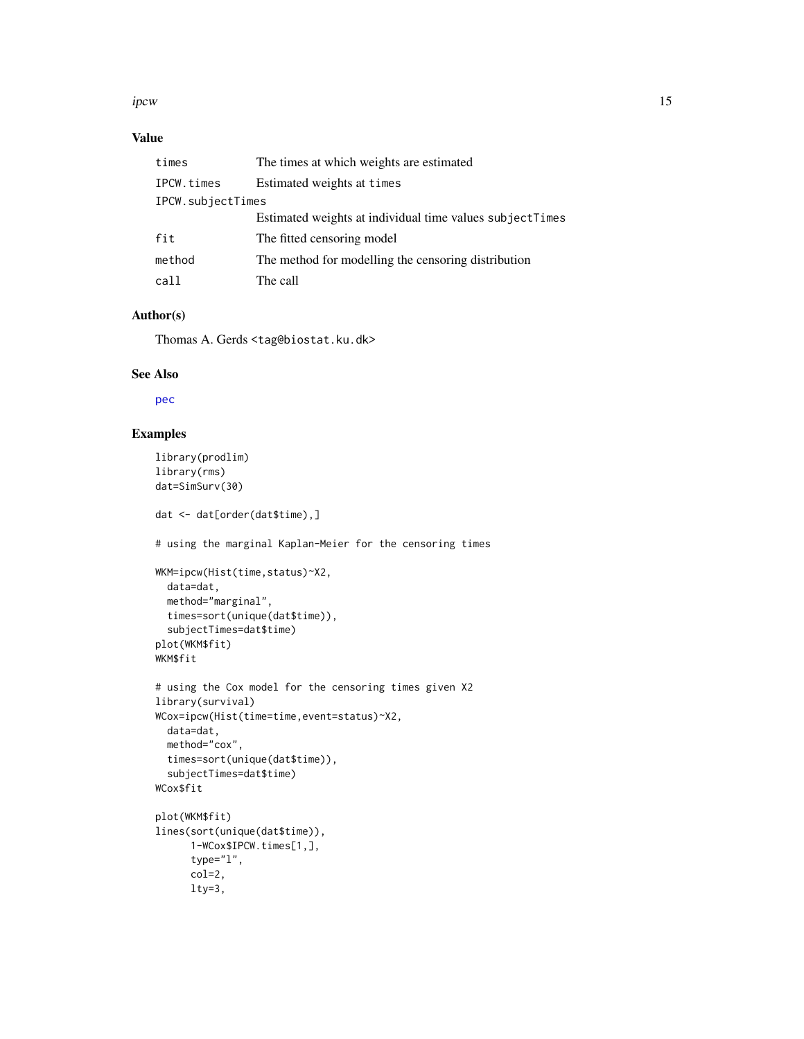#### <span id="page-14-0"></span> $i$ pcw  $15$

# Value

| times      | The times at which weights are estimated                  |  |  |
|------------|-----------------------------------------------------------|--|--|
| IPCW.times | Estimated weights at times                                |  |  |
|            | IPCW.subjectTimes                                         |  |  |
|            | Estimated weights at individual time values subject Times |  |  |
| fit        | The fitted censoring model                                |  |  |
| method     | The method for modelling the censoring distribution       |  |  |
| cal l      | The call                                                  |  |  |

# Author(s)

Thomas A. Gerds <tag@biostat.ku.dk>

# See Also

[pec](#page-16-1)

# Examples

```
library(prodlim)
library(rms)
dat=SimSurv(30)
```
dat <- dat[order(dat\$time),]

# using the marginal Kaplan-Meier for the censoring times

```
WKM=ipcw(Hist(time,status)~X2,
 data=dat,
  method="marginal",
  times=sort(unique(dat$time)),
  subjectTimes=dat$time)
plot(WKM$fit)
WKM$fit
# using the Cox model for the censoring times given X2
library(survival)
WCox=ipcw(Hist(time=time,event=status)~X2,
 data=dat,
 method="cox",
  times=sort(unique(dat$time)),
  subjectTimes=dat$time)
WCox$fit
plot(WKM$fit)
lines(sort(unique(dat$time)),
     1-WCox$IPCW.times[1,],
     type="l",
     col=2,
      lty=3,
```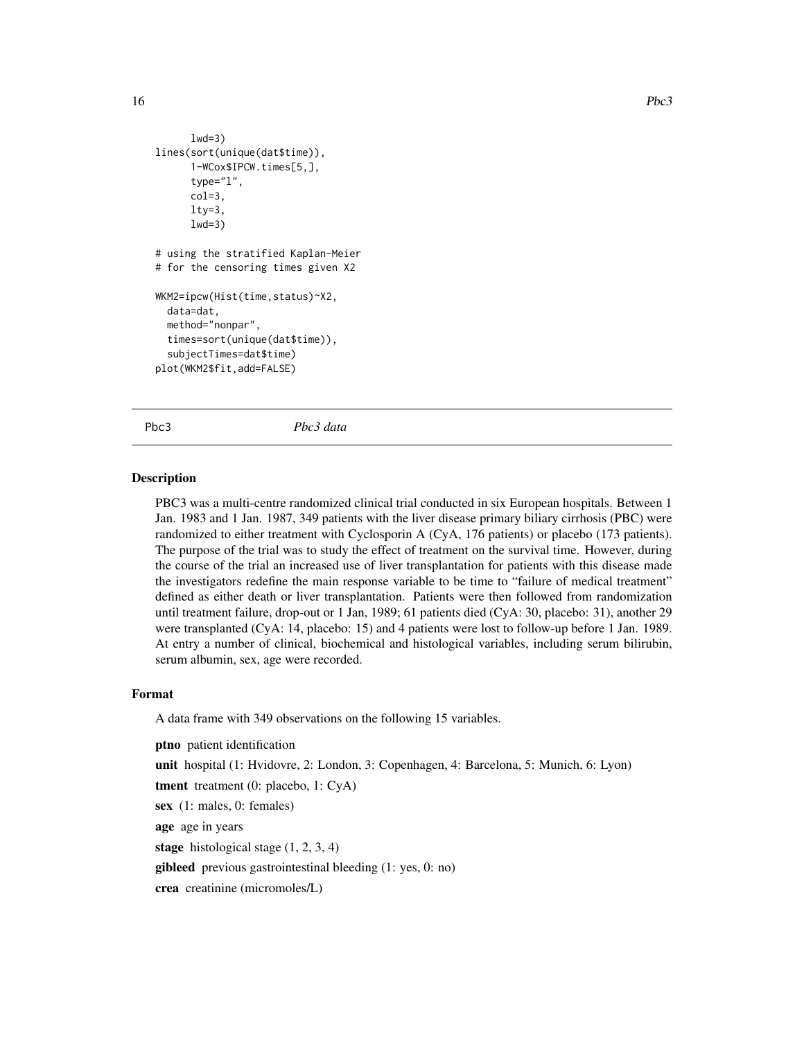```
lwd=3)lines(sort(unique(dat$time)),
      1-WCox$IPCW.times[5,],
      type="l",
      col=3,
      lty=3,
      lwd=3)
# using the stratified Kaplan-Meier
# for the censoring times given X2
WKM2=ipcw(Hist(time,status)~X2,
 data=dat,
 method="nonpar",
 times=sort(unique(dat$time)),
  subjectTimes=dat$time)
plot(WKM2$fit,add=FALSE)
```
Pbc3 *Pbc3 data*

#### Description

PBC3 was a multi-centre randomized clinical trial conducted in six European hospitals. Between 1 Jan. 1983 and 1 Jan. 1987, 349 patients with the liver disease primary biliary cirrhosis (PBC) were randomized to either treatment with Cyclosporin A (CyA, 176 patients) or placebo (173 patients). The purpose of the trial was to study the effect of treatment on the survival time. However, during the course of the trial an increased use of liver transplantation for patients with this disease made the investigators redefine the main response variable to be time to "failure of medical treatment" defined as either death or liver transplantation. Patients were then followed from randomization until treatment failure, drop-out or 1 Jan, 1989; 61 patients died (CyA: 30, placebo: 31), another 29 were transplanted (CyA: 14, placebo: 15) and 4 patients were lost to follow-up before 1 Jan. 1989. At entry a number of clinical, biochemical and histological variables, including serum bilirubin, serum albumin, sex, age were recorded.

#### Format

A data frame with 349 observations on the following 15 variables.

ptno patient identification

unit hospital (1: Hvidovre, 2: London, 3: Copenhagen, 4: Barcelona, 5: Munich, 6: Lyon)

tment treatment (0: placebo, 1: CyA)

sex  $(1:$  males, 0: females)

age age in years

stage histological stage  $(1, 2, 3, 4)$ 

gibleed previous gastrointestinal bleeding (1: yes, 0: no)

crea creatinine (micromoles/L)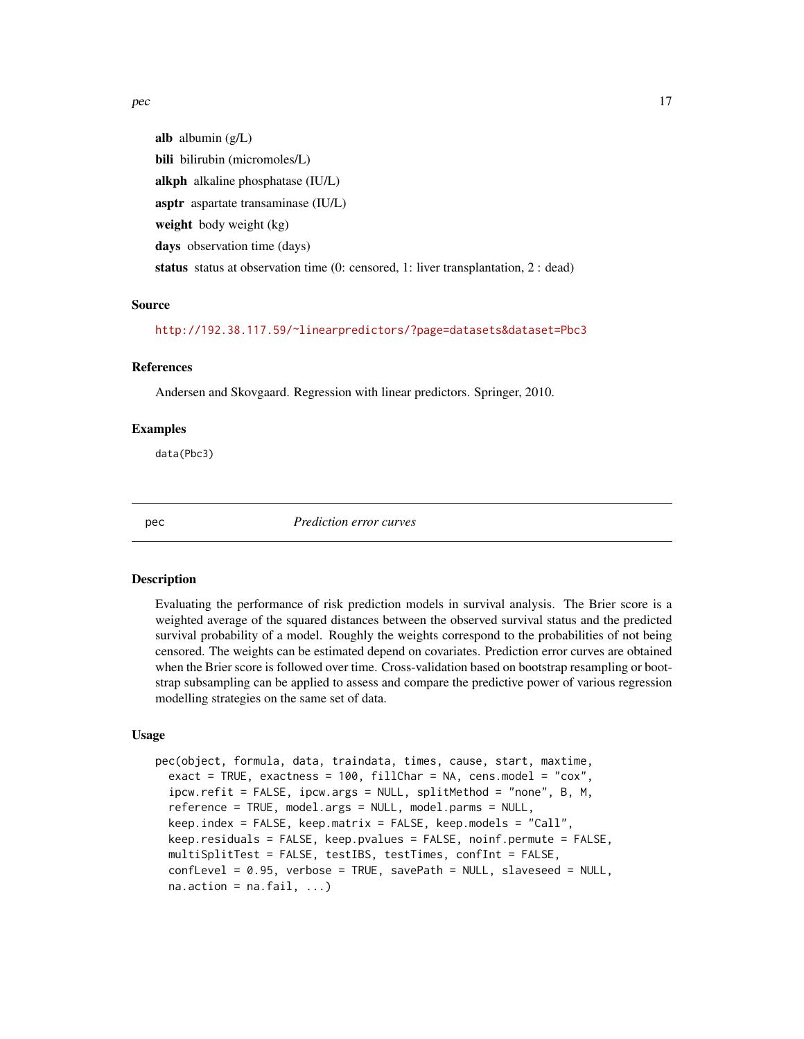<span id="page-16-0"></span> $\Gamma$  pec  $\Gamma$  17

alb albumin  $(g/L)$ bili bilirubin (micromoles/L) alkph alkaline phosphatase (IU/L) asptr aspartate transaminase (IU/L) weight body weight (kg) days observation time (days) status status at observation time (0: censored, 1: liver transplantation, 2 : dead)

#### Source

<http://192.38.117.59/~linearpredictors/?page=datasets&dataset=Pbc3>

#### References

Andersen and Skovgaard. Regression with linear predictors. Springer, 2010.

# Examples

data(Pbc3)

<span id="page-16-1"></span>

pec *Prediction error curves*

#### **Description**

Evaluating the performance of risk prediction models in survival analysis. The Brier score is a weighted average of the squared distances between the observed survival status and the predicted survival probability of a model. Roughly the weights correspond to the probabilities of not being censored. The weights can be estimated depend on covariates. Prediction error curves are obtained when the Brier score is followed over time. Cross-validation based on bootstrap resampling or bootstrap subsampling can be applied to assess and compare the predictive power of various regression modelling strategies on the same set of data.

### Usage

pec(object, formula, data, traindata, times, cause, start, maxtime, exact = TRUE, exactness = 100, fillChar = NA, cens.model = "cox", ipcw.refit = FALSE, ipcw.args = NULL, splitMethod = "none", B, M, reference = TRUE, model.args = NULL, model.parms = NULL, keep.index = FALSE, keep.matrix = FALSE, keep.models = "Call", keep.residuals = FALSE, keep.pvalues = FALSE, noinf.permute = FALSE, multiSplitTest = FALSE, testIBS, testTimes, confInt = FALSE, confLevel = 0.95, verbose = TRUE, savePath = NULL, slaveseed = NULL,  $na. action = na. fail, ...)$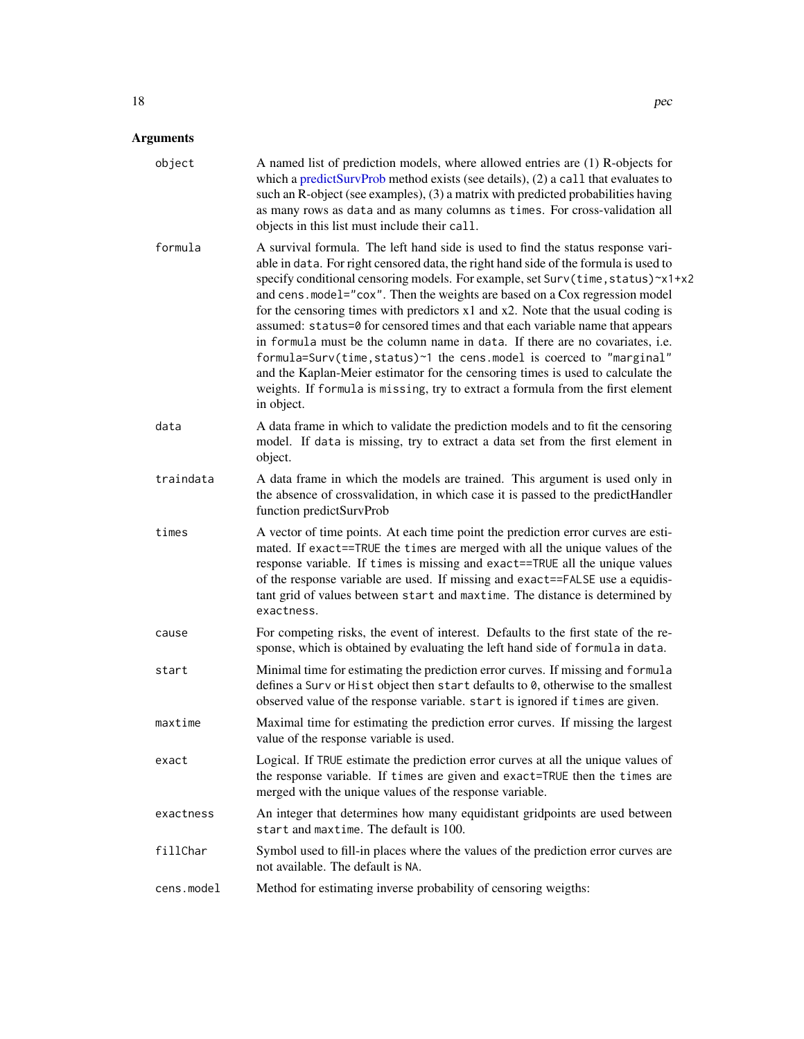# <span id="page-17-0"></span>Arguments

| object     | A named list of prediction models, where allowed entries are (1) R-objects for<br>which a predictSurvProb method exists (see details), (2) a call that evaluates to<br>such an R-object (see examples), (3) a matrix with predicted probabilities having<br>as many rows as data and as many columns as times. For cross-validation all<br>objects in this list must include their call.                                                                                                                                                                                                                                                                                                                                                                                                                                                                     |
|------------|--------------------------------------------------------------------------------------------------------------------------------------------------------------------------------------------------------------------------------------------------------------------------------------------------------------------------------------------------------------------------------------------------------------------------------------------------------------------------------------------------------------------------------------------------------------------------------------------------------------------------------------------------------------------------------------------------------------------------------------------------------------------------------------------------------------------------------------------------------------|
| formula    | A survival formula. The left hand side is used to find the status response vari-<br>able in data. For right censored data, the right hand side of the formula is used to<br>specify conditional censoring models. For example, set Surv(time, status)~x1+x2<br>and cens. model="cox". Then the weights are based on a Cox regression model<br>for the censoring times with predictors x1 and x2. Note that the usual coding is<br>assumed: status=0 for censored times and that each variable name that appears<br>in formula must be the column name in data. If there are no covariates, i.e.<br>formula=Surv(time, status)~1 the cens. model is coerced to "marginal"<br>and the Kaplan-Meier estimator for the censoring times is used to calculate the<br>weights. If formula is missing, try to extract a formula from the first element<br>in object. |
| data       | A data frame in which to validate the prediction models and to fit the censoring<br>model. If data is missing, try to extract a data set from the first element in<br>object.                                                                                                                                                                                                                                                                                                                                                                                                                                                                                                                                                                                                                                                                                |
| traindata  | A data frame in which the models are trained. This argument is used only in<br>the absence of crossvalidation, in which case it is passed to the predictHandler<br>function predictSurvProb                                                                                                                                                                                                                                                                                                                                                                                                                                                                                                                                                                                                                                                                  |
| times      | A vector of time points. At each time point the prediction error curves are esti-<br>mated. If exact==TRUE the times are merged with all the unique values of the<br>response variable. If times is missing and exact==TRUE all the unique values<br>of the response variable are used. If missing and exact==FALSE use a equidis-<br>tant grid of values between start and maxtime. The distance is determined by<br>exactness.                                                                                                                                                                                                                                                                                                                                                                                                                             |
| cause      | For competing risks, the event of interest. Defaults to the first state of the re-<br>sponse, which is obtained by evaluating the left hand side of formula in data.                                                                                                                                                                                                                                                                                                                                                                                                                                                                                                                                                                                                                                                                                         |
| start      | Minimal time for estimating the prediction error curves. If missing and formula<br>defines a Surv or Hist object then start defaults to 0, otherwise to the smallest<br>observed value of the response variable. start is ignored if times are given.                                                                                                                                                                                                                                                                                                                                                                                                                                                                                                                                                                                                        |
| maxtime    | Maximal time for estimating the prediction error curves. If missing the largest<br>value of the response variable is used.                                                                                                                                                                                                                                                                                                                                                                                                                                                                                                                                                                                                                                                                                                                                   |
| exact      | Logical. If TRUE estimate the prediction error curves at all the unique values of<br>the response variable. If times are given and exact=TRUE then the times are<br>merged with the unique values of the response variable.                                                                                                                                                                                                                                                                                                                                                                                                                                                                                                                                                                                                                                  |
| exactness  | An integer that determines how many equidistant gridpoints are used between<br>start and maxtime. The default is 100.                                                                                                                                                                                                                                                                                                                                                                                                                                                                                                                                                                                                                                                                                                                                        |
| fillChar   | Symbol used to fill-in places where the values of the prediction error curves are<br>not available. The default is NA.                                                                                                                                                                                                                                                                                                                                                                                                                                                                                                                                                                                                                                                                                                                                       |
| cens.model | Method for estimating inverse probability of censoring weigths:                                                                                                                                                                                                                                                                                                                                                                                                                                                                                                                                                                                                                                                                                                                                                                                              |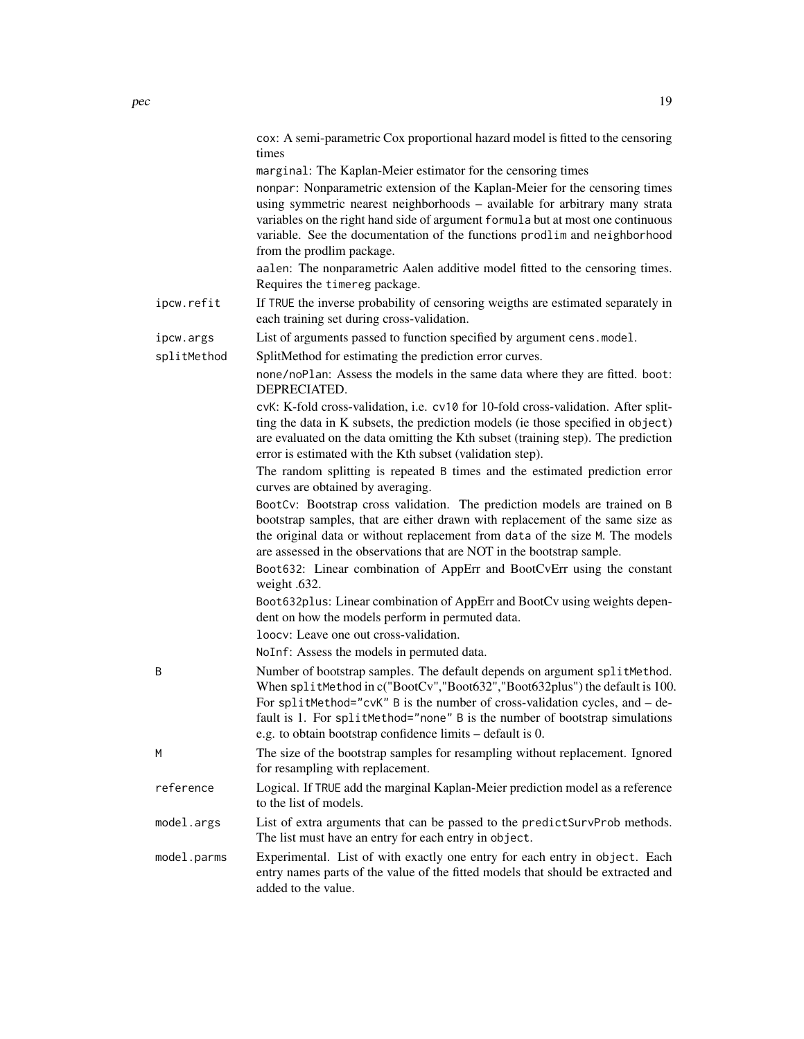|             | cox: A semi-parametric Cox proportional hazard model is fitted to the censoring<br>times                                                                                                                                                                                                                                                                                                                                                                                                                |
|-------------|---------------------------------------------------------------------------------------------------------------------------------------------------------------------------------------------------------------------------------------------------------------------------------------------------------------------------------------------------------------------------------------------------------------------------------------------------------------------------------------------------------|
|             | marginal: The Kaplan-Meier estimator for the censoring times<br>nonpar: Nonparametric extension of the Kaplan-Meier for the censoring times<br>using symmetric nearest neighborhoods - available for arbitrary many strata<br>variables on the right hand side of argument formula but at most one continuous<br>variable. See the documentation of the functions prodlim and neighborhood<br>from the prodlim package.<br>aalen: The nonparametric Aalen additive model fitted to the censoring times. |
|             | Requires the timereg package.                                                                                                                                                                                                                                                                                                                                                                                                                                                                           |
| ipcw.refit  | If TRUE the inverse probability of censoring weigths are estimated separately in<br>each training set during cross-validation.                                                                                                                                                                                                                                                                                                                                                                          |
| ipcw.args   | List of arguments passed to function specified by argument cens.model.                                                                                                                                                                                                                                                                                                                                                                                                                                  |
| splitMethod | SplitMethod for estimating the prediction error curves.                                                                                                                                                                                                                                                                                                                                                                                                                                                 |
|             | none/noPlan: Assess the models in the same data where they are fitted. boot:<br>DEPRECIATED.                                                                                                                                                                                                                                                                                                                                                                                                            |
|             | cvK: K-fold cross-validation, i.e. cv10 for 10-fold cross-validation. After split-<br>ting the data in K subsets, the prediction models (ie those specified in object)<br>are evaluated on the data omitting the Kth subset (training step). The prediction<br>error is estimated with the Kth subset (validation step).                                                                                                                                                                                |
|             | The random splitting is repeated B times and the estimated prediction error<br>curves are obtained by averaging.                                                                                                                                                                                                                                                                                                                                                                                        |
|             | BootCv: Bootstrap cross validation. The prediction models are trained on B<br>bootstrap samples, that are either drawn with replacement of the same size as<br>the original data or without replacement from data of the size M. The models<br>are assessed in the observations that are NOT in the bootstrap sample.                                                                                                                                                                                   |
|             | Boot632: Linear combination of AppErr and BootCvErr using the constant<br>weight .632.                                                                                                                                                                                                                                                                                                                                                                                                                  |
|             | Boot632plus: Linear combination of AppErr and BootCv using weights depen-<br>dent on how the models perform in permuted data.<br>loocv: Leave one out cross-validation.                                                                                                                                                                                                                                                                                                                                 |
|             | NoInf: Assess the models in permuted data.                                                                                                                                                                                                                                                                                                                                                                                                                                                              |
| B           | Number of bootstrap samples. The default depends on argument splitMethod.<br>When splitMethod in c("BootCv","Boot632","Boot632plus") the default is 100.<br>For splitMethod="cvK" B is the number of cross-validation cycles, and - de-<br>fault is 1. For splitMethod="none" B is the number of bootstrap simulations<br>e.g. to obtain bootstrap confidence limits – default is 0.                                                                                                                    |
| M           | The size of the bootstrap samples for resampling without replacement. Ignored<br>for resampling with replacement.                                                                                                                                                                                                                                                                                                                                                                                       |
| reference   | Logical. If TRUE add the marginal Kaplan-Meier prediction model as a reference<br>to the list of models.                                                                                                                                                                                                                                                                                                                                                                                                |
| model.args  | List of extra arguments that can be passed to the predictSurvProb methods.<br>The list must have an entry for each entry in object.                                                                                                                                                                                                                                                                                                                                                                     |
| model.parms | Experimental. List of with exactly one entry for each entry in object. Each<br>entry names parts of the value of the fitted models that should be extracted and<br>added to the value.                                                                                                                                                                                                                                                                                                                  |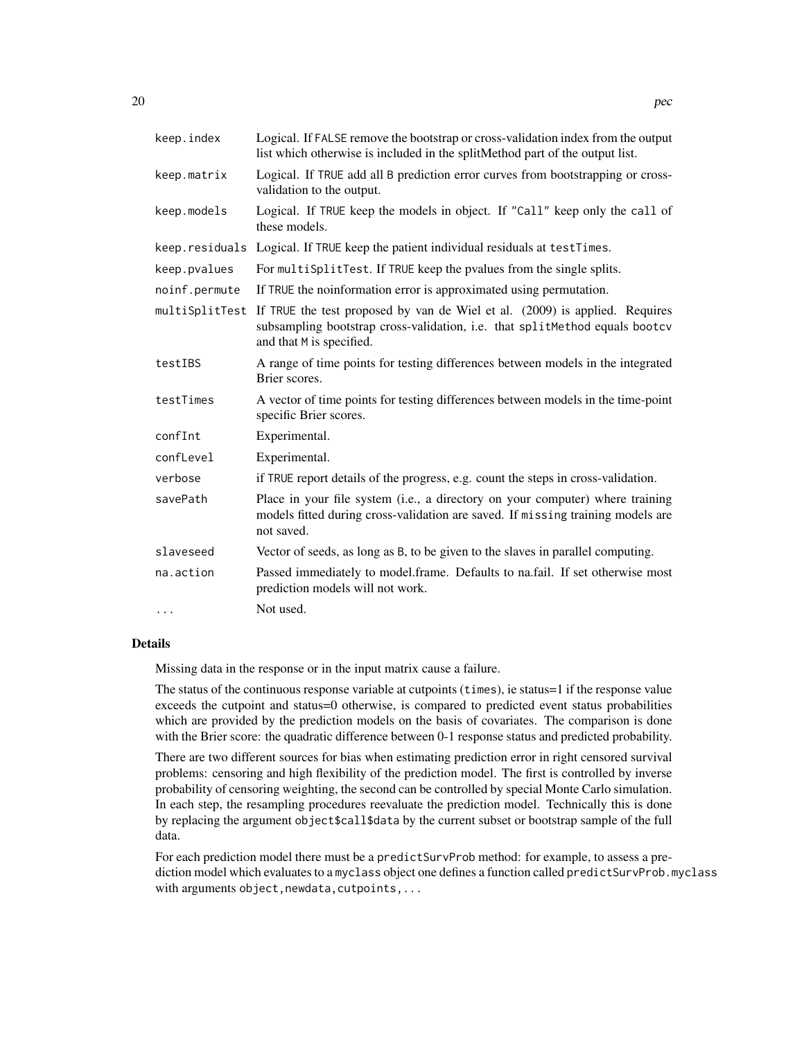| keep.index     | Logical. If FALSE remove the bootstrap or cross-validation index from the output<br>list which otherwise is included in the splitMethod part of the output list.                       |
|----------------|----------------------------------------------------------------------------------------------------------------------------------------------------------------------------------------|
| keep.matrix    | Logical. If TRUE add all B prediction error curves from bootstrapping or cross-<br>validation to the output.                                                                           |
| keep.models    | Logical. If TRUE keep the models in object. If "Call" keep only the call of<br>these models.                                                                                           |
| keep.residuals | Logical. If TRUE keep the patient individual residuals at testTimes.                                                                                                                   |
| keep.pvalues   | For multiSplitTest. If TRUE keep the pvalues from the single splits.                                                                                                                   |
| noinf.permute  | If TRUE the noinformation error is approximated using permutation.                                                                                                                     |
| multiSplitTest | If TRUE the test proposed by van de Wiel et al. (2009) is applied. Requires<br>subsampling bootstrap cross-validation, i.e. that splitMethod equals bootcv<br>and that M is specified. |
| testIBS        | A range of time points for testing differences between models in the integrated<br>Brier scores.                                                                                       |
| testTimes      | A vector of time points for testing differences between models in the time-point<br>specific Brier scores.                                                                             |
| confInt        | Experimental.                                                                                                                                                                          |
| confLevel      | Experimental.                                                                                                                                                                          |
| verbose        | if TRUE report details of the progress, e.g. count the steps in cross-validation.                                                                                                      |
| savePath       | Place in your file system (i.e., a directory on your computer) where training<br>models fitted during cross-validation are saved. If missing training models are<br>not saved.         |
| slaveseed      | Vector of seeds, as long as B, to be given to the slaves in parallel computing.                                                                                                        |
| na.action      | Passed immediately to model.frame. Defaults to na.fail. If set otherwise most<br>prediction models will not work.                                                                      |
| $\cdots$       | Not used.                                                                                                                                                                              |

#### Details

Missing data in the response or in the input matrix cause a failure.

The status of the continuous response variable at cutpoints (times), ie status=1 if the response value exceeds the cutpoint and status=0 otherwise, is compared to predicted event status probabilities which are provided by the prediction models on the basis of covariates. The comparison is done with the Brier score: the quadratic difference between 0-1 response status and predicted probability.

There are two different sources for bias when estimating prediction error in right censored survival problems: censoring and high flexibility of the prediction model. The first is controlled by inverse probability of censoring weighting, the second can be controlled by special Monte Carlo simulation. In each step, the resampling procedures reevaluate the prediction model. Technically this is done by replacing the argument object\$call\$data by the current subset or bootstrap sample of the full data.

For each prediction model there must be a predictSurvProb method: for example, to assess a prediction model which evaluates to a myclass object one defines a function called predictSurvProb.myclass with arguments object, newdata, cutpoints, ...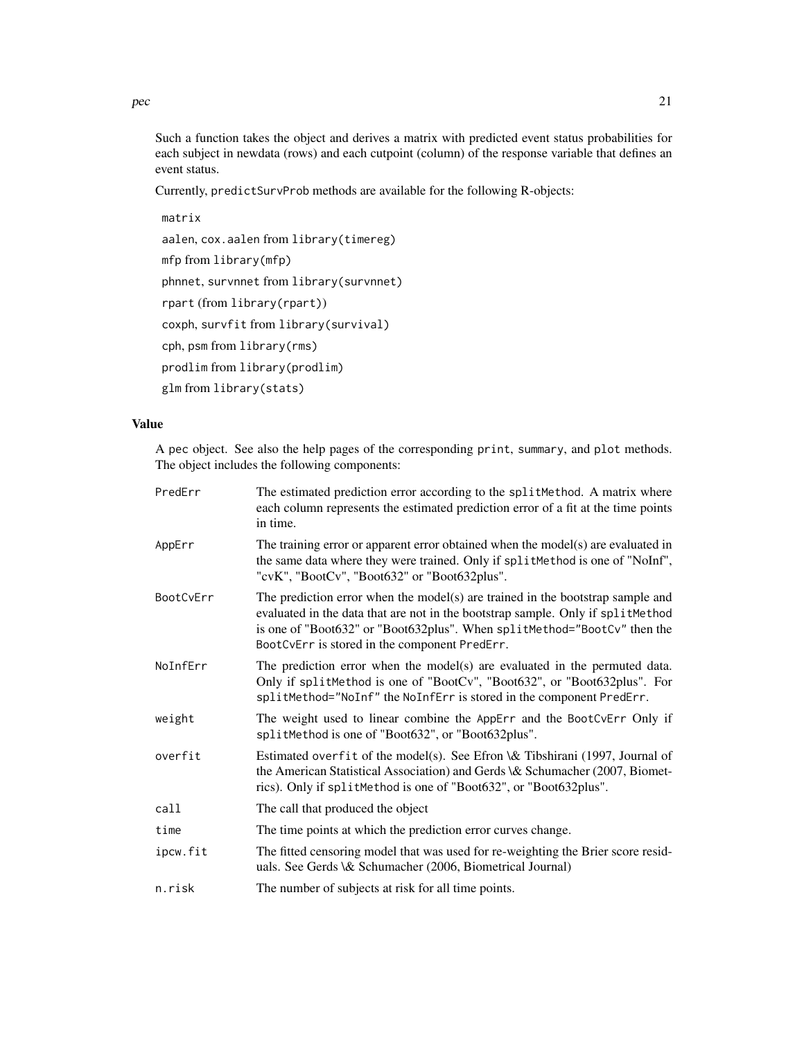$\bm{p}$ ec 21

Such a function takes the object and derives a matrix with predicted event status probabilities for each subject in newdata (rows) and each cutpoint (column) of the response variable that defines an event status.

Currently, predictSurvProb methods are available for the following R-objects:

matrix

aalen, cox.aalen from library(timereg)

mfp from library(mfp)

phnnet, survnnet from library(survnnet)

rpart (from library(rpart))

coxph, survfit from library(survival)

cph, psm from library(rms)

prodlim from library(prodlim)

glm from library(stats)

# Value

A pec object. See also the help pages of the corresponding print, summary, and plot methods. The object includes the following components:

| PredErr   | The estimated prediction error according to the splitMethod. A matrix where<br>each column represents the estimated prediction error of a fit at the time points<br>in time.                                                                                                                   |
|-----------|------------------------------------------------------------------------------------------------------------------------------------------------------------------------------------------------------------------------------------------------------------------------------------------------|
| AppErr    | The training error or apparent error obtained when the model(s) are evaluated in<br>the same data where they were trained. Only if splitMethod is one of "NoInf",<br>"cvK", "BootCv", "Boot632" or "Boot632plus".                                                                              |
| BootCvErr | The prediction error when the model(s) are trained in the bootstrap sample and<br>evaluated in the data that are not in the bootstrap sample. Only if splitMethod<br>is one of "Boot632" or "Boot632plus". When splitMethod="BootCv" then the<br>BootCvErr is stored in the component PredErr. |
| NoInfErr  | The prediction error when the model(s) are evaluated in the permuted data.<br>Only if splitMethod is one of "BootCv", "Boot632", or "Boot632plus". For<br>splitMethod="NoInf" the NoInfErr is stored in the component PredErr.                                                                 |
| weight    | The weight used to linear combine the AppErr and the BootCvErr Only if<br>splitMethod is one of "Boot632", or "Boot632plus".                                                                                                                                                                   |
| overfit   | Estimated over fit of the model(s). See Efron \& Tibshirani (1997, Journal of<br>the American Statistical Association) and Gerds \& Schumacher (2007, Biomet-<br>rics). Only if splitMethod is one of "Boot632", or "Boot632plus".                                                             |
| call      | The call that produced the object                                                                                                                                                                                                                                                              |
| time      | The time points at which the prediction error curves change.                                                                                                                                                                                                                                   |
| ipcw.fit  | The fitted censoring model that was used for re-weighting the Brier score resid-<br>uals. See Gerds \& Schumacher (2006, Biometrical Journal)                                                                                                                                                  |
| n.risk    | The number of subjects at risk for all time points.                                                                                                                                                                                                                                            |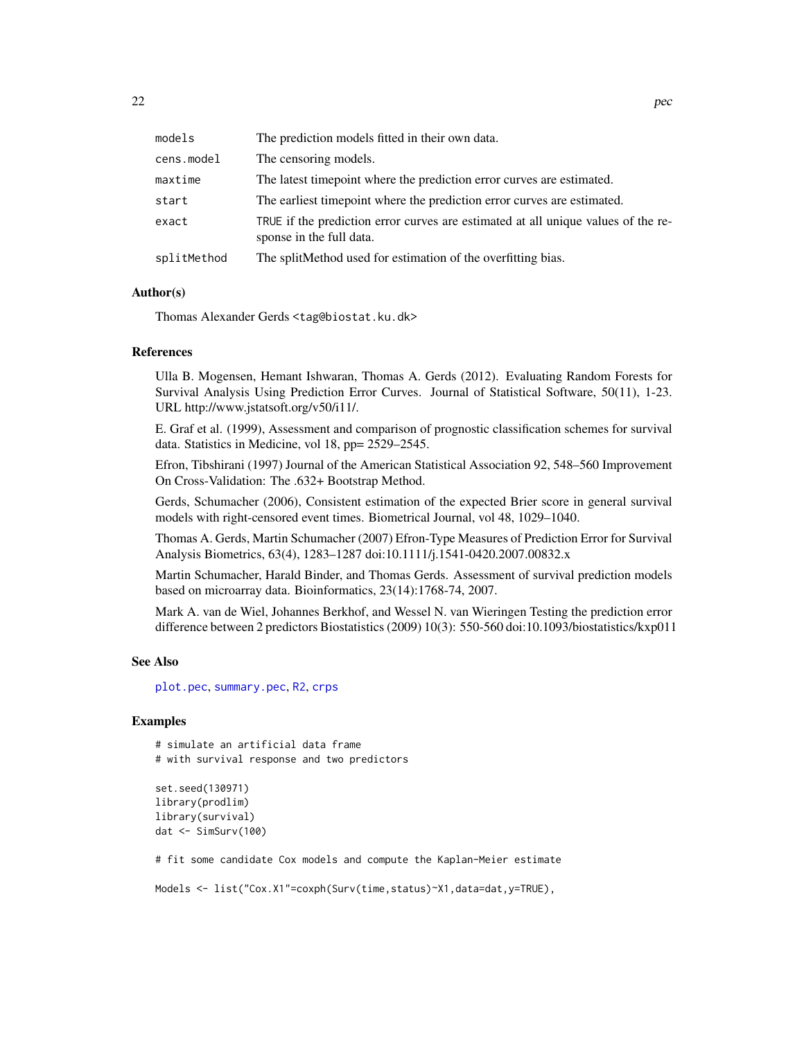<span id="page-21-0"></span>

| models      | The prediction models fitted in their own data.                                                               |
|-------------|---------------------------------------------------------------------------------------------------------------|
| cens.model  | The censoring models.                                                                                         |
| maxtime     | The latest time point where the prediction error curves are estimated.                                        |
| start       | The earliest timepoint where the prediction error curves are estimated.                                       |
| exact       | TRUE if the prediction error curves are estimated at all unique values of the re-<br>sponse in the full data. |
| splitMethod | The splitMethod used for estimation of the overfitting bias.                                                  |

#### Author(s)

Thomas Alexander Gerds <tag@biostat.ku.dk>

#### References

Ulla B. Mogensen, Hemant Ishwaran, Thomas A. Gerds (2012). Evaluating Random Forests for Survival Analysis Using Prediction Error Curves. Journal of Statistical Software, 50(11), 1-23. URL http://www.jstatsoft.org/v50/i11/.

E. Graf et al. (1999), Assessment and comparison of prognostic classification schemes for survival data. Statistics in Medicine, vol 18, pp= 2529–2545.

Efron, Tibshirani (1997) Journal of the American Statistical Association 92, 548–560 Improvement On Cross-Validation: The .632+ Bootstrap Method.

Gerds, Schumacher (2006), Consistent estimation of the expected Brier score in general survival models with right-censored event times. Biometrical Journal, vol 48, 1029–1040.

Thomas A. Gerds, Martin Schumacher (2007) Efron-Type Measures of Prediction Error for Survival Analysis Biometrics, 63(4), 1283–1287 doi:10.1111/j.1541-0420.2007.00832.x

Martin Schumacher, Harald Binder, and Thomas Gerds. Assessment of survival prediction models based on microarray data. Bioinformatics, 23(14):1768-74, 2007.

Mark A. van de Wiel, Johannes Berkhof, and Wessel N. van Wieringen Testing the prediction error difference between 2 predictors Biostatistics (2009) 10(3): 550-560 doi:10.1093/biostatistics/kxp011

#### See Also

[plot.pec](#page-26-1), [summary.pec](#page-36-1), [R2](#page-37-1), [crps](#page-10-1)

# Examples

```
# simulate an artificial data frame
# with survival response and two predictors
```

```
set.seed(130971)
library(prodlim)
library(survival)
dat <- SimSurv(100)
```
# fit some candidate Cox models and compute the Kaplan-Meier estimate

Models <- list("Cox.X1"=coxph(Surv(time,status)~X1,data=dat,y=TRUE),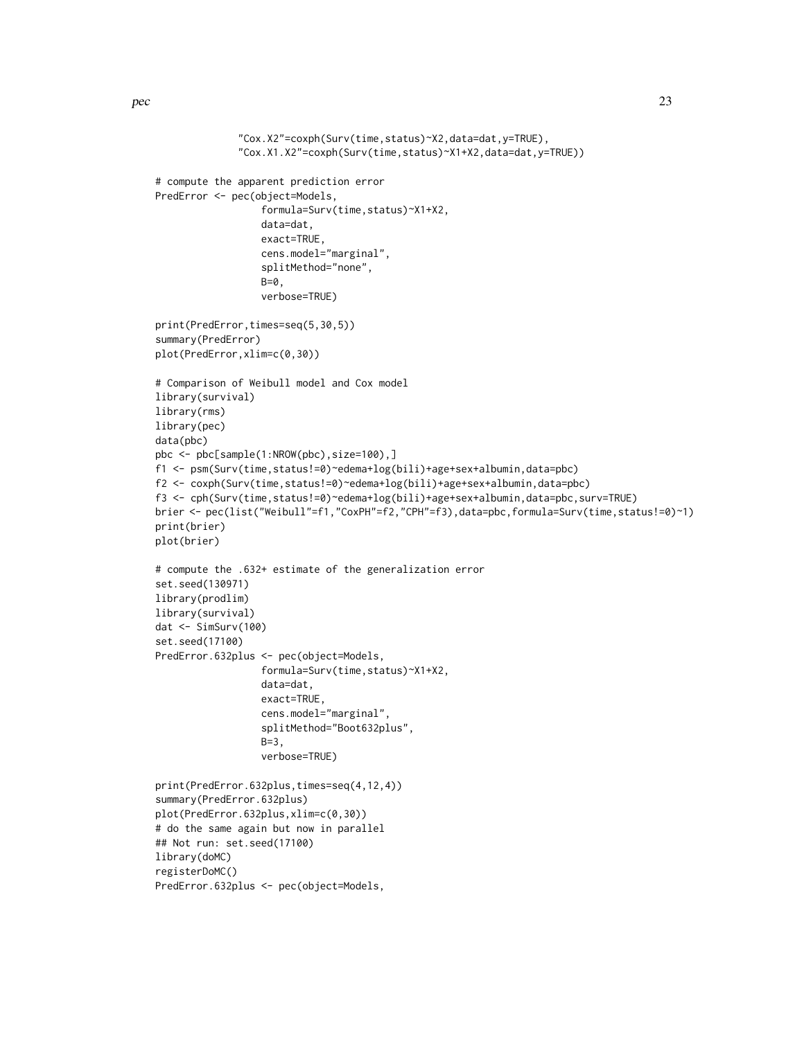```
"Cox.X2"=coxph(Surv(time,status)~X2,data=dat,y=TRUE),
              "Cox.X1.X2"=coxph(Surv(time,status)~X1+X2,data=dat,y=TRUE))
# compute the apparent prediction error
PredError <- pec(object=Models,
                  formula=Surv(time,status)~X1+X2,
                  data=dat,
                  exact=TRUE,
                  cens.model="marginal",
                  splitMethod="none",
                  B=0,
                  verbose=TRUE)
print(PredError,times=seq(5,30,5))
summary(PredError)
plot(PredError,xlim=c(0,30))
# Comparison of Weibull model and Cox model
library(survival)
library(rms)
library(pec)
data(pbc)
pbc <- pbc[sample(1:NROW(pbc),size=100),]
f1 <- psm(Surv(time,status!=0)~edema+log(bili)+age+sex+albumin,data=pbc)
f2 <- coxph(Surv(time,status!=0)~edema+log(bili)+age+sex+albumin,data=pbc)
f3 <- cph(Surv(time,status!=0)~edema+log(bili)+age+sex+albumin,data=pbc,surv=TRUE)
brier <- pec(list("Weibull"=f1,"CoxPH"=f2,"CPH"=f3),data=pbc,formula=Surv(time,status!=0)~1)
print(brier)
plot(brier)
# compute the .632+ estimate of the generalization error
set.seed(130971)
library(prodlim)
library(survival)
dat <- SimSurv(100)
set.seed(17100)
PredError.632plus <- pec(object=Models,
                  formula=Surv(time,status)~X1+X2,
                  data=dat,
                  exact=TRUE,
                  cens.model="marginal",
                  splitMethod="Boot632plus",
                  B=3.
                  verbose=TRUE)
print(PredError.632plus,times=seq(4,12,4))
summary(PredError.632plus)
plot(PredError.632plus,xlim=c(0,30))
# do the same again but now in parallel
## Not run: set.seed(17100)
library(doMC)
registerDoMC()
PredError.632plus <- pec(object=Models,
```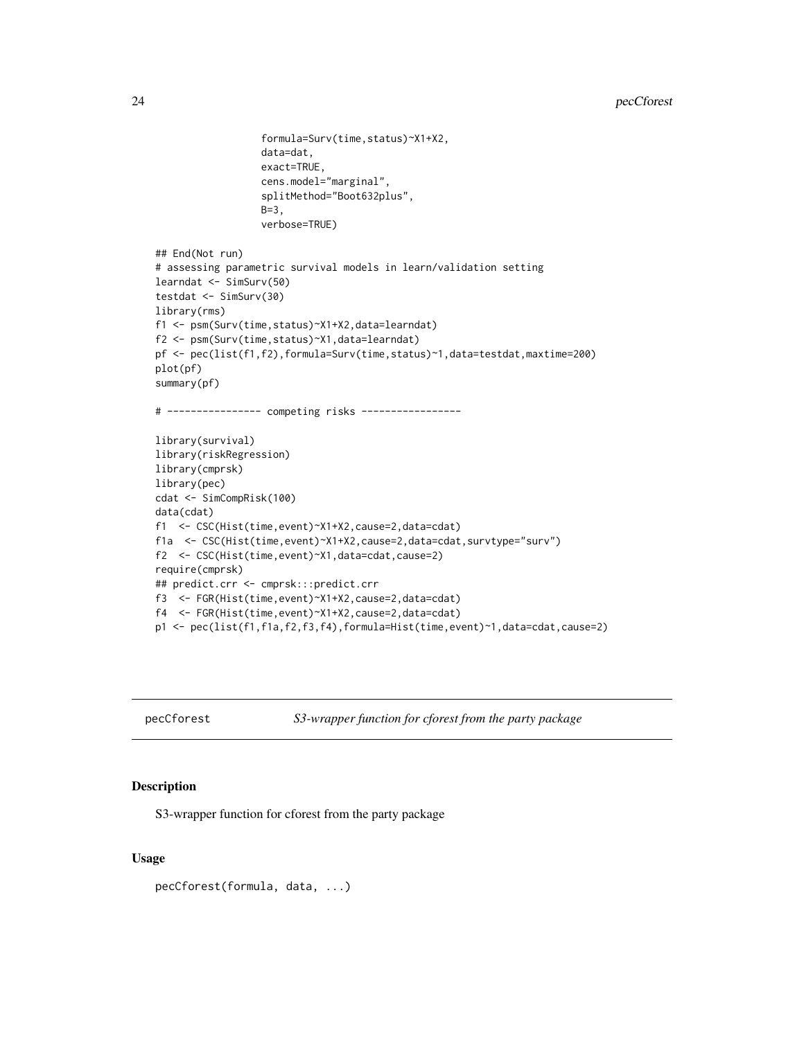```
formula=Surv(time,status)~X1+X2,
                  data=dat,
                  exact=TRUE,
                  cens.model="marginal",
                  splitMethod="Boot632plus",
                  B=3,
                  verbose=TRUE)
## End(Not run)
# assessing parametric survival models in learn/validation setting
learndat <- SimSurv(50)
testdat <- SimSurv(30)
library(rms)
f1 <- psm(Surv(time,status)~X1+X2,data=learndat)
f2 <- psm(Surv(time,status)~X1,data=learndat)
pf <- pec(list(f1,f2),formula=Surv(time,status)~1,data=testdat,maxtime=200)
plot(pf)
summary(pf)
# ---------------- competing risks -----------------
library(survival)
library(riskRegression)
library(cmprsk)
library(pec)
cdat <- SimCompRisk(100)
data(cdat)
f1 <- CSC(Hist(time,event)~X1+X2,cause=2,data=cdat)
f1a <- CSC(Hist(time,event)~X1+X2,cause=2,data=cdat,survtype="surv")
f2 <- CSC(Hist(time,event)~X1,data=cdat,cause=2)
require(cmprsk)
## predict.crr <- cmprsk:::predict.crr
f3 <- FGR(Hist(time,event)~X1+X2,cause=2,data=cdat)
f4 <- FGR(Hist(time,event)~X1+X2,cause=2,data=cdat)
p1 <- pec(list(f1,f1a,f2,f3,f4),formula=Hist(time,event)~1,data=cdat,cause=2)
```
pecCforest *S3-wrapper function for cforest from the party package*

# Description

S3-wrapper function for cforest from the party package

#### Usage

pecCforest(formula, data, ...)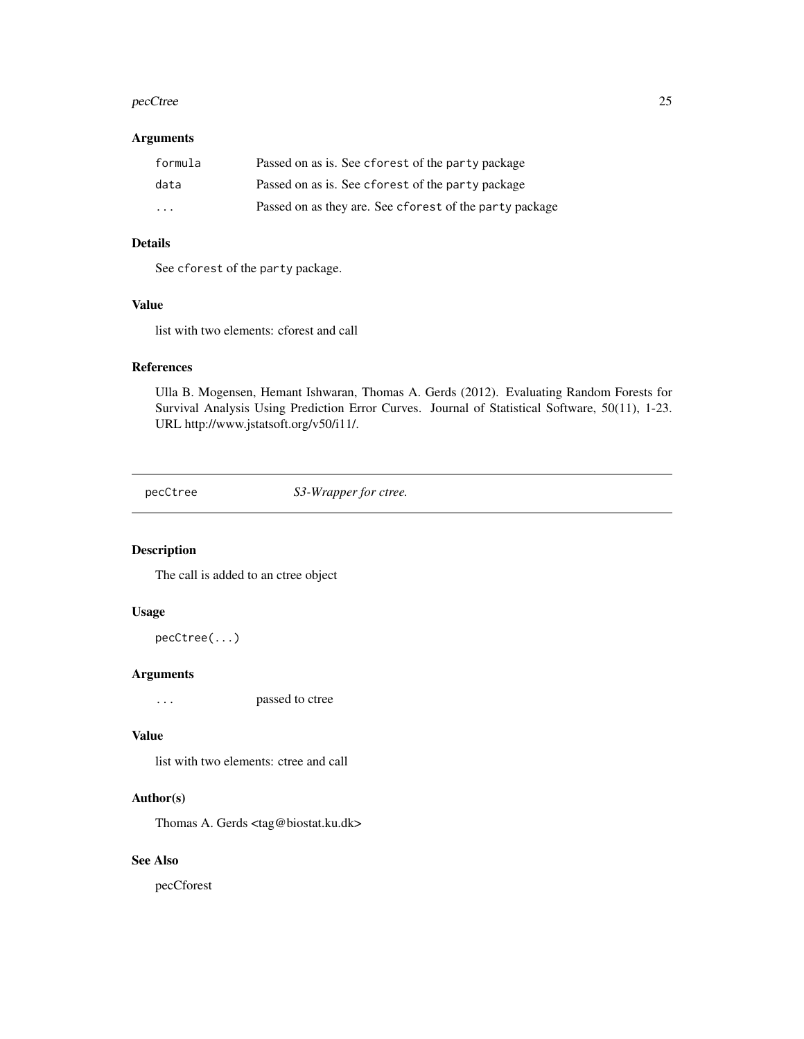#### <span id="page-24-0"></span>pecCtree 25

# Arguments

| formula | Passed on as is. See cforest of the party package       |
|---------|---------------------------------------------------------|
| data    | Passed on as is. See cforest of the party package       |
| .       | Passed on as they are. See cforest of the party package |

# Details

See cforest of the party package.

# Value

list with two elements: cforest and call

# References

Ulla B. Mogensen, Hemant Ishwaran, Thomas A. Gerds (2012). Evaluating Random Forests for Survival Analysis Using Prediction Error Curves. Journal of Statistical Software, 50(11), 1-23. URL http://www.jstatsoft.org/v50/i11/.

pecCtree *S3-Wrapper for ctree.*

# Description

The call is added to an ctree object

# Usage

```
pecCtree(...)
```
# Arguments

... passed to ctree

# Value

list with two elements: ctree and call

#### Author(s)

Thomas A. Gerds <tag@biostat.ku.dk>

# See Also

pecCforest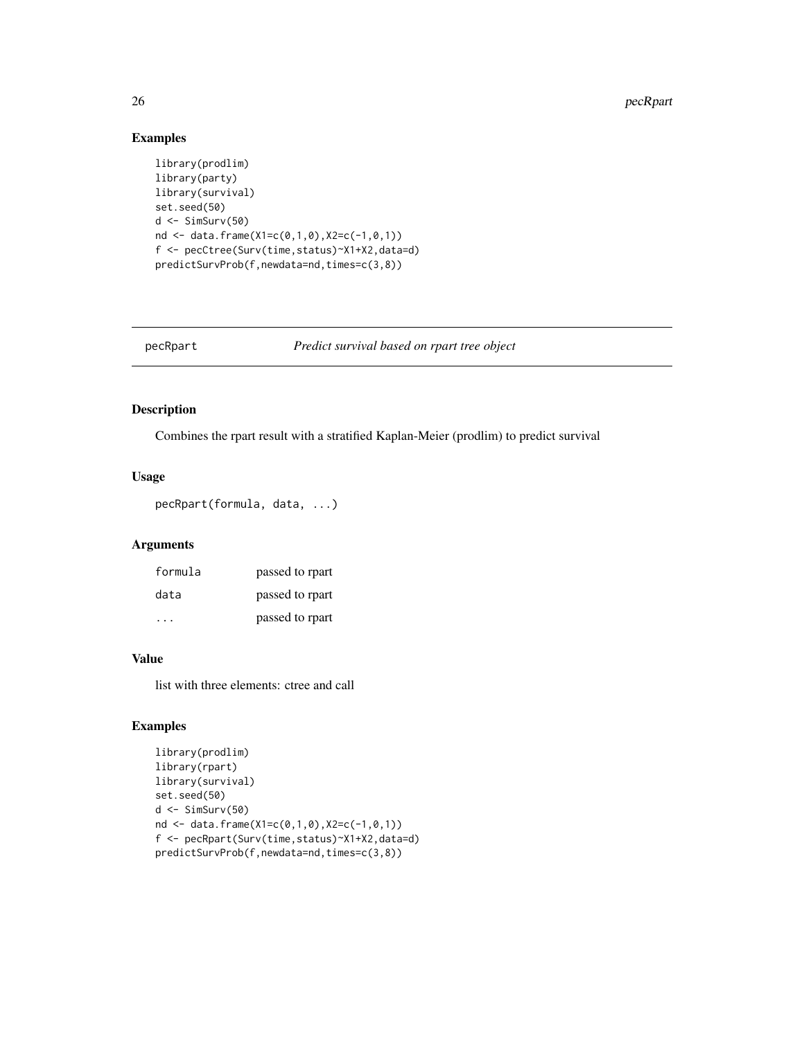# Examples

```
library(prodlim)
library(party)
library(survival)
set.seed(50)
d \leftarrow SimSurv(50)
nd <- data.frame(X1=c(0,1,0),X2=c(-1,0,1))
f <- pecCtree(Surv(time,status)~X1+X2,data=d)
predictSurvProb(f,newdata=nd,times=c(3,8))
```
pecRpart *Predict survival based on rpart tree object*

# Description

Combines the rpart result with a stratified Kaplan-Meier (prodlim) to predict survival

# Usage

```
pecRpart(formula, data, ...)
```
# Arguments

| formula | passed to rpart |
|---------|-----------------|
| data    | passed to rpart |
| .       | passed to rpart |

# Value

list with three elements: ctree and call

#### Examples

```
library(prodlim)
library(rpart)
library(survival)
set.seed(50)
d \leftarrow SimSurv(50)
nd <- data.frame(X1=c(0,1,0),X2=c(-1,0,1))
f <- pecRpart(Surv(time,status)~X1+X2,data=d)
predictSurvProb(f,newdata=nd,times=c(3,8))
```
<span id="page-25-0"></span>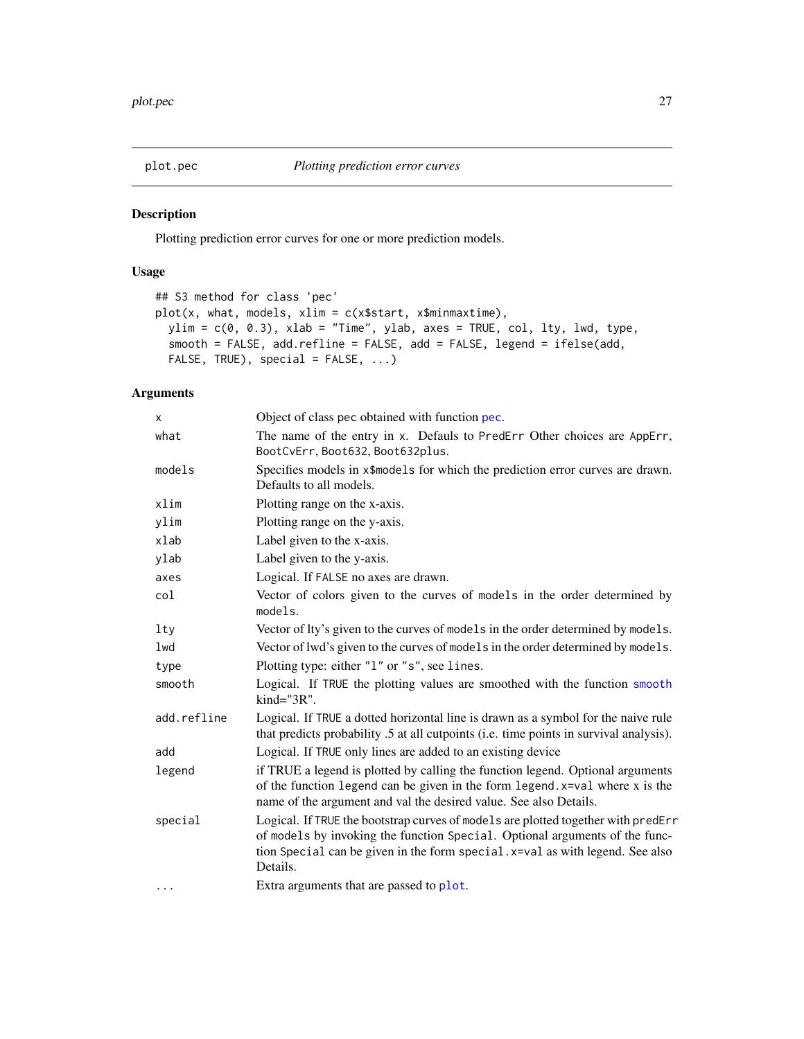<span id="page-26-1"></span><span id="page-26-0"></span>

# Description

Plotting prediction error curves for one or more prediction models.

# Usage

```
## S3 method for class 'pec'
plot(x, what, models, xlim = c(x$start, x$minmaxtime),
 ylim = c(0, 0.3), xlab = "Time", ylab, axes = TRUE, col, lty, lwd, type,
  smooth = FALSE, add.refline = FALSE, add = FALSE, legend = ifelse(add,
 FALSE, TRUE), special = FALSE, ...)
```
# Arguments

| x           | Object of class pec obtained with function pec.                                                                                                                                                                                                               |
|-------------|---------------------------------------------------------------------------------------------------------------------------------------------------------------------------------------------------------------------------------------------------------------|
| what        | The name of the entry in x. Defauls to PredErr Other choices are AppErr,<br>BootCvErr, Boot632, Boot632plus.                                                                                                                                                  |
| models      | Specifies models in x\$models for which the prediction error curves are drawn.<br>Defaults to all models.                                                                                                                                                     |
| xlim        | Plotting range on the x-axis.                                                                                                                                                                                                                                 |
| ylim        | Plotting range on the y-axis.                                                                                                                                                                                                                                 |
| xlab        | Label given to the x-axis.                                                                                                                                                                                                                                    |
| ylab        | Label given to the y-axis.                                                                                                                                                                                                                                    |
| axes        | Logical. If FALSE no axes are drawn.                                                                                                                                                                                                                          |
| col         | Vector of colors given to the curves of models in the order determined by<br>models.                                                                                                                                                                          |
| lty         | Vector of Ity's given to the curves of models in the order determined by models.                                                                                                                                                                              |
| lwd         | Vector of lwd's given to the curves of models in the order determined by models.                                                                                                                                                                              |
| type        | Plotting type: either "1" or "s", see lines.                                                                                                                                                                                                                  |
| smooth      | Logical. If TRUE the plotting values are smoothed with the function smooth<br>$kind="3R".$                                                                                                                                                                    |
| add.refline | Logical. If TRUE a dotted horizontal line is drawn as a symbol for the naive rule<br>that predicts probability .5 at all cutpoints (i.e. time points in survival analysis).                                                                                   |
| add         | Logical. If TRUE only lines are added to an existing device                                                                                                                                                                                                   |
| legend      | if TRUE a legend is plotted by calling the function legend. Optional arguments<br>of the function legend can be given in the form legend. x=val where x is the<br>name of the argument and val the desired value. See also Details.                           |
| special     | Logical. If TRUE the bootstrap curves of models are plotted together with predErr<br>of models by invoking the function Special. Optional arguments of the func-<br>tion Special can be given in the form special. x=val as with legend. See also<br>Details. |
| .           | Extra arguments that are passed to plot.                                                                                                                                                                                                                      |
|             |                                                                                                                                                                                                                                                               |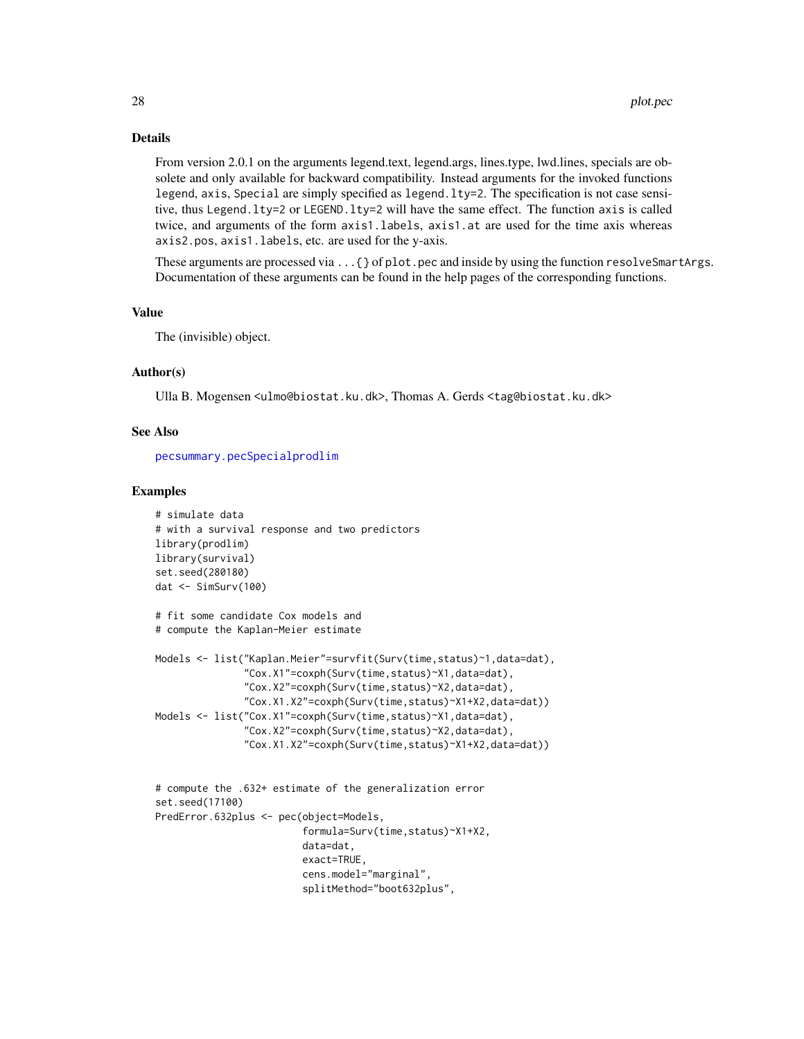# Details

From version 2.0.1 on the arguments legend.text, legend.args, lines.type, lwd.lines, specials are obsolete and only available for backward compatibility. Instead arguments for the invoked functions legend, axis, Special are simply specified as legend.lty=2. The specification is not case sensitive, thus Legend.lty=2 or LEGEND.lty=2 will have the same effect. The function axis is called twice, and arguments of the form axis1.labels, axis1.at are used for the time axis whereas axis2.pos, axis1.labels, etc. are used for the y-axis.

These arguments are processed via ...{} of plot.pec and inside by using the function resolveSmartArgs. Documentation of these arguments can be found in the help pages of the corresponding functions.

# Value

The (invisible) object.

# Author(s)

Ulla B. Mogensen <ulmo@biostat.ku.dk>, Thomas A. Gerds <tag@biostat.ku.dk>

#### See Also

[pec](#page-16-1)[summary.pec](#page-36-1)[Special](#page-43-1)[prodlim](#page-0-0)

#### Examples

```
# simulate data
# with a survival response and two predictors
library(prodlim)
library(survival)
set.seed(280180)
dat <- SimSurv(100)
# fit some candidate Cox models and
# compute the Kaplan-Meier estimate
Models <- list("Kaplan.Meier"=survfit(Surv(time.status)~1.data=dat).
               "Cox.X1"=coxph(Surv(time,status)~X1,data=dat),
               "Cox.X2"=coxph(Surv(time,status)~X2,data=dat),
               "Cox.X1.X2"=coxph(Surv(time,status)~X1+X2,data=dat))
Models <- list("Cox.X1"=coxph(Surv(time,status)~X1,data=dat),
               "Cox.X2"=coxph(Surv(time,status)~X2,data=dat),
               "Cox.X1.X2"=coxph(Surv(time,status)~X1+X2,data=dat))
# compute the .632+ estimate of the generalization error
set.seed(17100)
PredError.632plus <- pec(object=Models,
                         formula=Surv(time,status)~X1+X2,
                         data=dat,
                         exact=TRUE,
                         cens.model="marginal",
                         splitMethod="boot632plus",
```
<span id="page-27-0"></span>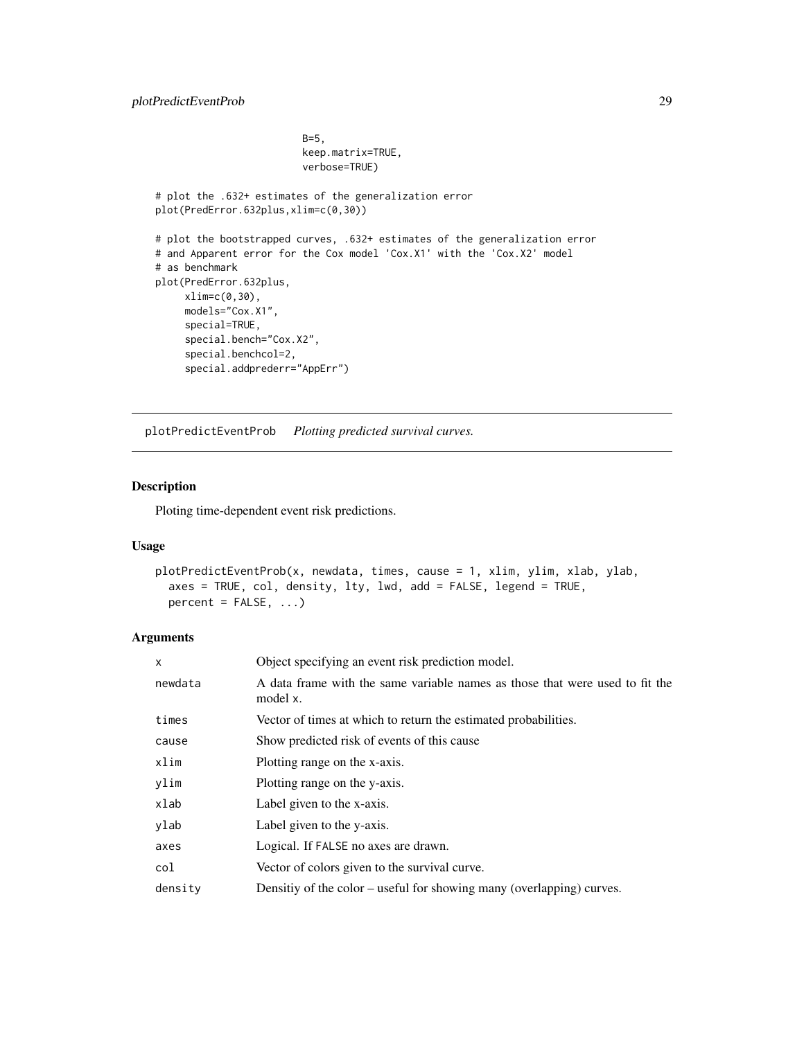# <span id="page-28-0"></span>plotPredictEventProb 29

```
B=5,keep.matrix=TRUE,
                         verbose=TRUE)
# plot the .632+ estimates of the generalization error
plot(PredError.632plus,xlim=c(0,30))
# plot the bootstrapped curves, .632+ estimates of the generalization error
# and Apparent error for the Cox model 'Cox.X1' with the 'Cox.X2' model
# as benchmark
plot(PredError.632plus,
    xlim=c(0,30),
    models="Cox.X1",
    special=TRUE,
    special.bench="Cox.X2",
     special.benchcol=2,
     special.addprederr="AppErr")
```
plotPredictEventProb *Plotting predicted survival curves.*

# Description

Ploting time-dependent event risk predictions.

#### Usage

```
plotPredictEventProb(x, newdata, times, cause = 1, xlim, ylim, xlab, ylab,
  axes = TRUE, col, density, lty, lwd, add = FALSE, legend = TRUE,
 percent = FALSE, ...
```
#### Arguments

| X       | Object specifying an event risk prediction model.                                        |
|---------|------------------------------------------------------------------------------------------|
| newdata | A data frame with the same variable names as those that were used to fit the<br>model x. |
| times   | Vector of times at which to return the estimated probabilities.                          |
| cause   | Show predicted risk of events of this cause                                              |
| xlim    | Plotting range on the x-axis.                                                            |
| ylim    | Plotting range on the y-axis.                                                            |
| xlab    | Label given to the x-axis.                                                               |
| ylab    | Label given to the y-axis.                                                               |
| axes    | Logical. If FALSE no axes are drawn.                                                     |
| col     | Vector of colors given to the survival curve.                                            |
| density | Densitiy of the color – useful for showing many (overlapping) curves.                    |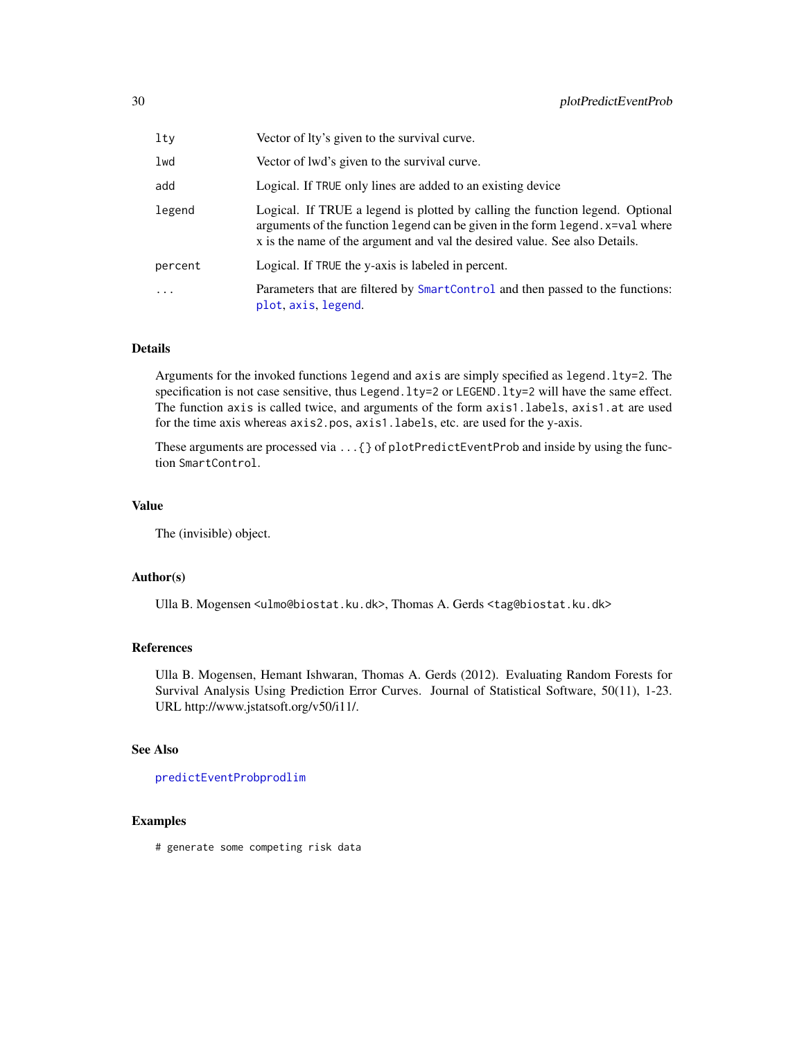<span id="page-29-0"></span>

| $1$ ty                  | Vector of Ity's given to the survival curve.                                                                                                                                                                                                 |
|-------------------------|----------------------------------------------------------------------------------------------------------------------------------------------------------------------------------------------------------------------------------------------|
| lwd                     | Vector of lwd's given to the survival curve.                                                                                                                                                                                                 |
| add                     | Logical. If TRUE only lines are added to an existing device                                                                                                                                                                                  |
| legend                  | Logical. If TRUE a legend is plotted by calling the function legend. Optional<br>arguments of the function legend can be given in the form legend. x=val where<br>x is the name of the argument and val the desired value. See also Details. |
| percent                 | Logical. If TRUE the y-axis is labeled in percent.                                                                                                                                                                                           |
| $\cdot$ $\cdot$ $\cdot$ | Parameters that are filtered by SmartControl and then passed to the functions:<br>plot, axis, legend.                                                                                                                                        |

# Details

Arguments for the invoked functions legend and axis are simply specified as legend.lty=2. The specification is not case sensitive, thus Legend.lty=2 or LEGEND.lty=2 will have the same effect. The function axis is called twice, and arguments of the form axis1.labels, axis1.at are used for the time axis whereas axis2.pos, axis1.labels, etc. are used for the y-axis.

These arguments are processed via ...{} of plotPredictEventProb and inside by using the function SmartControl.

# Value

The (invisible) object.

#### Author(s)

Ulla B. Mogensen <ulmo@biostat.ku.dk>, Thomas A. Gerds <tag@biostat.ku.dk>

# References

Ulla B. Mogensen, Hemant Ishwaran, Thomas A. Gerds (2012). Evaluating Random Forests for Survival Analysis Using Prediction Error Curves. Journal of Statistical Software, 50(11), 1-23. URL http://www.jstatsoft.org/v50/i11/.

# See Also

[predictEventProb](#page-31-1)[prodlim](#page-0-0)

# Examples

# generate some competing risk data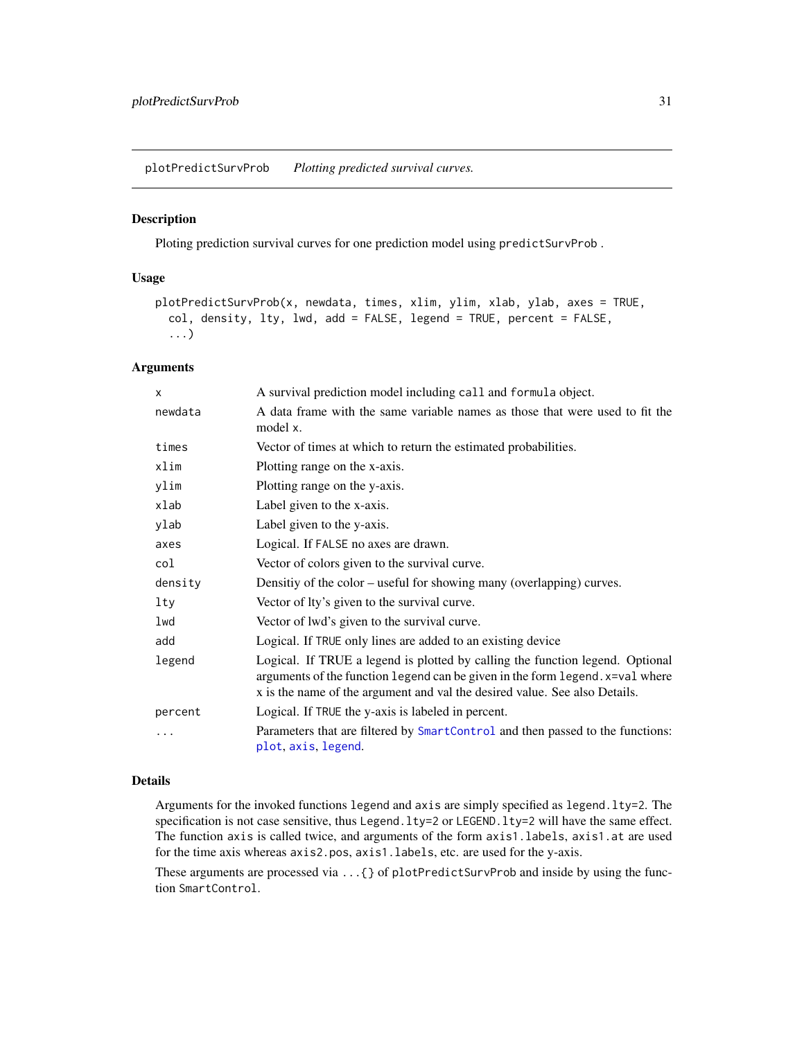<span id="page-30-0"></span>plotPredictSurvProb *Plotting predicted survival curves.*

# Description

Ploting prediction survival curves for one prediction model using predictSurvProb .

# Usage

```
plotPredictSurvProb(x, newdata, times, xlim, ylim, xlab, ylab, axes = TRUE,
 col, density, lty, lwd, add = FALSE, legend = TRUE, percent = FALSE,
  ...)
```
# Arguments

| $\mathsf{x}$ | A survival prediction model including call and formula object.                                                                                                                                                                               |
|--------------|----------------------------------------------------------------------------------------------------------------------------------------------------------------------------------------------------------------------------------------------|
| newdata      | A data frame with the same variable names as those that were used to fit the<br>model x.                                                                                                                                                     |
| times        | Vector of times at which to return the estimated probabilities.                                                                                                                                                                              |
| xlim         | Plotting range on the x-axis.                                                                                                                                                                                                                |
| ylim         | Plotting range on the y-axis.                                                                                                                                                                                                                |
| xlab         | Label given to the x-axis.                                                                                                                                                                                                                   |
| ylab         | Label given to the y-axis.                                                                                                                                                                                                                   |
| axes         | Logical. If FALSE no axes are drawn.                                                                                                                                                                                                         |
| col          | Vector of colors given to the survival curve.                                                                                                                                                                                                |
| density      | Densitiy of the color – useful for showing many (overlapping) curves.                                                                                                                                                                        |
| lty          | Vector of Ity's given to the survival curve.                                                                                                                                                                                                 |
| lwd          | Vector of lwd's given to the survival curve.                                                                                                                                                                                                 |
| add          | Logical. If TRUE only lines are added to an existing device                                                                                                                                                                                  |
| legend       | Logical. If TRUE a legend is plotted by calling the function legend. Optional<br>arguments of the function legend can be given in the form legend. x=val where<br>x is the name of the argument and val the desired value. See also Details. |
| percent      | Logical. If TRUE the y-axis is labeled in percent.                                                                                                                                                                                           |
| $\cdots$     | Parameters that are filtered by SmartControl and then passed to the functions:<br>plot, axis, legend.                                                                                                                                        |

# Details

Arguments for the invoked functions legend and axis are simply specified as legend.lty=2. The specification is not case sensitive, thus Legend.lty=2 or LEGEND.lty=2 will have the same effect. The function axis is called twice, and arguments of the form axis1.labels, axis1.at are used for the time axis whereas axis2.pos, axis1.labels, etc. are used for the y-axis.

These arguments are processed via ...{} of plotPredictSurvProb and inside by using the function SmartControl.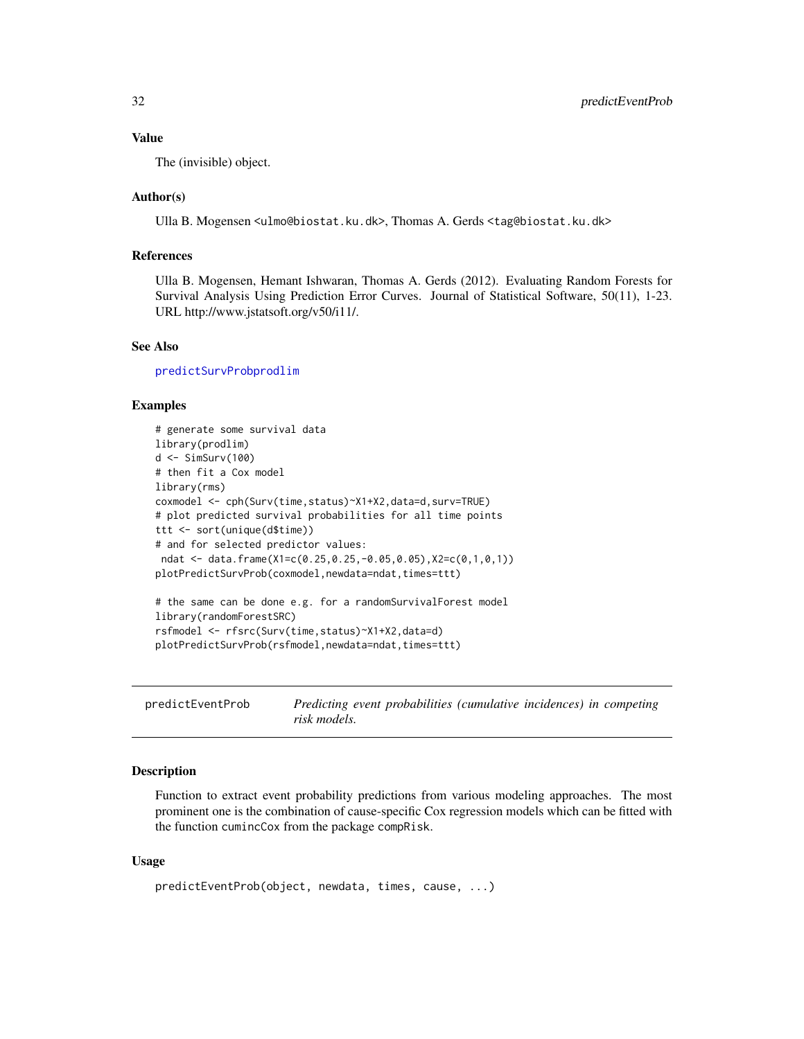# <span id="page-31-0"></span>Value

The (invisible) object.

# Author(s)

Ulla B. Mogensen <ulmo@biostat.ku.dk>, Thomas A. Gerds <tag@biostat.ku.dk>

# References

Ulla B. Mogensen, Hemant Ishwaran, Thomas A. Gerds (2012). Evaluating Random Forests for Survival Analysis Using Prediction Error Curves. Journal of Statistical Software, 50(11), 1-23. URL http://www.jstatsoft.org/v50/i11/.

# See Also

[predictSurvProb](#page-34-1)[prodlim](#page-0-0)

# Examples

```
# generate some survival data
library(prodlim)
d <- SimSurv(100)
# then fit a Cox model
library(rms)
coxmodel <- cph(Surv(time,status)~X1+X2,data=d,surv=TRUE)
# plot predicted survival probabilities for all time points
ttt <- sort(unique(d$time))
# and for selected predictor values:
ndat <- data.frame(X1=c(0.25,0.25,-0.05,0.05),X2=c(0,1,0,1))
plotPredictSurvProb(coxmodel,newdata=ndat,times=ttt)
# the same can be done e.g. for a randomSurvivalForest model
library(randomForestSRC)
rsfmodel <- rfsrc(Surv(time,status)~X1+X2,data=d)
plotPredictSurvProb(rsfmodel,newdata=ndat,times=ttt)
```
<span id="page-31-1"></span>predictEventProb *Predicting event probabilities (cumulative incidences) in competing risk models.*

# Description

Function to extract event probability predictions from various modeling approaches. The most prominent one is the combination of cause-specific Cox regression models which can be fitted with the function cumincCox from the package compRisk.

#### Usage

```
predictEventProb(object, newdata, times, cause, ...)
```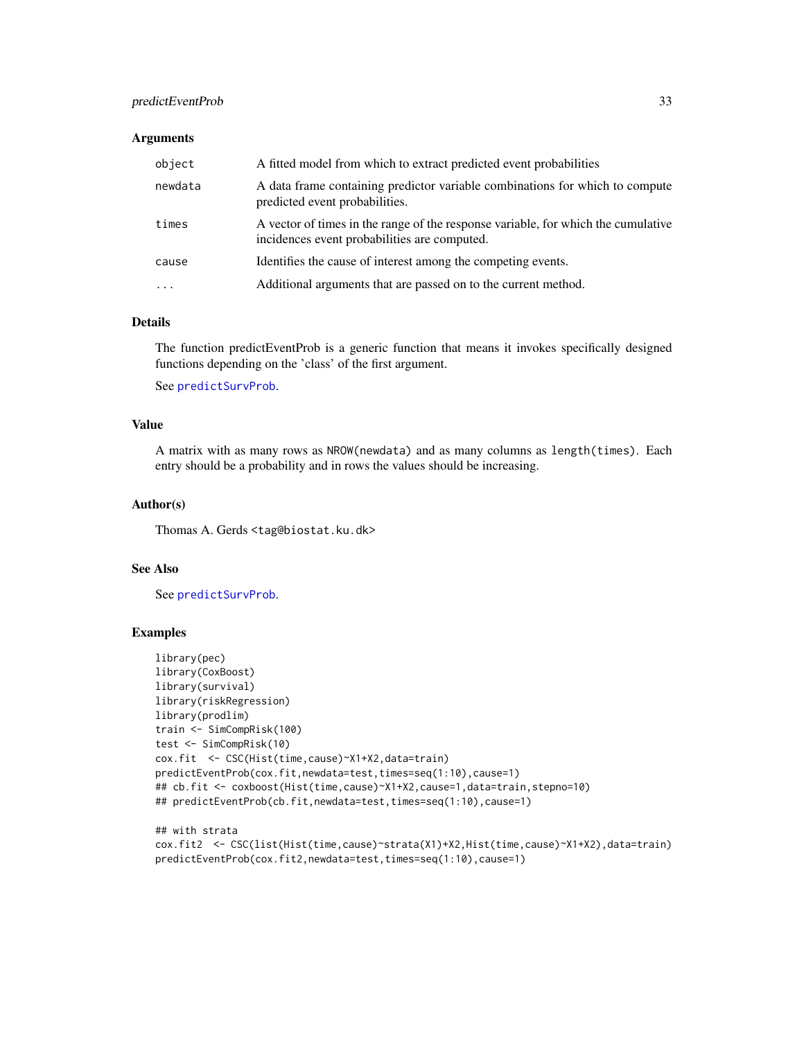# predictEventProb 33

#### Arguments

| object                  | A fitted model from which to extract predicted event probabilities                                                                |
|-------------------------|-----------------------------------------------------------------------------------------------------------------------------------|
| newdata                 | A data frame containing predictor variable combinations for which to compute<br>predicted event probabilities.                    |
| times                   | A vector of times in the range of the response variable, for which the cumulative<br>incidences event probabilities are computed. |
| cause                   | Identifies the cause of interest among the competing events.                                                                      |
| $\cdot$ $\cdot$ $\cdot$ | Additional arguments that are passed on to the current method.                                                                    |

# Details

The function predictEventProb is a generic function that means it invokes specifically designed functions depending on the 'class' of the first argument.

See [predictSurvProb](#page-34-1).

# Value

A matrix with as many rows as NROW(newdata) and as many columns as length(times). Each entry should be a probability and in rows the values should be increasing.

#### Author(s)

Thomas A. Gerds <tag@biostat.ku.dk>

#### See Also

See [predictSurvProb](#page-34-1).

#### Examples

```
library(pec)
library(CoxBoost)
library(survival)
library(riskRegression)
library(prodlim)
train <- SimCompRisk(100)
test <- SimCompRisk(10)
cox.fit <- CSC(Hist(time,cause)~X1+X2,data=train)
predictEventProb(cox.fit,newdata=test,times=seq(1:10),cause=1)
## cb.fit <- coxboost(Hist(time,cause)~X1+X2,cause=1,data=train,stepno=10)
## predictEventProb(cb.fit,newdata=test,times=seq(1:10),cause=1)
## with strata
```

```
cox.fit2 <- CSC(list(Hist(time,cause)~strata(X1)+X2,Hist(time,cause)~X1+X2),data=train)
predictEventProb(cox.fit2,newdata=test,times=seq(1:10),cause=1)
```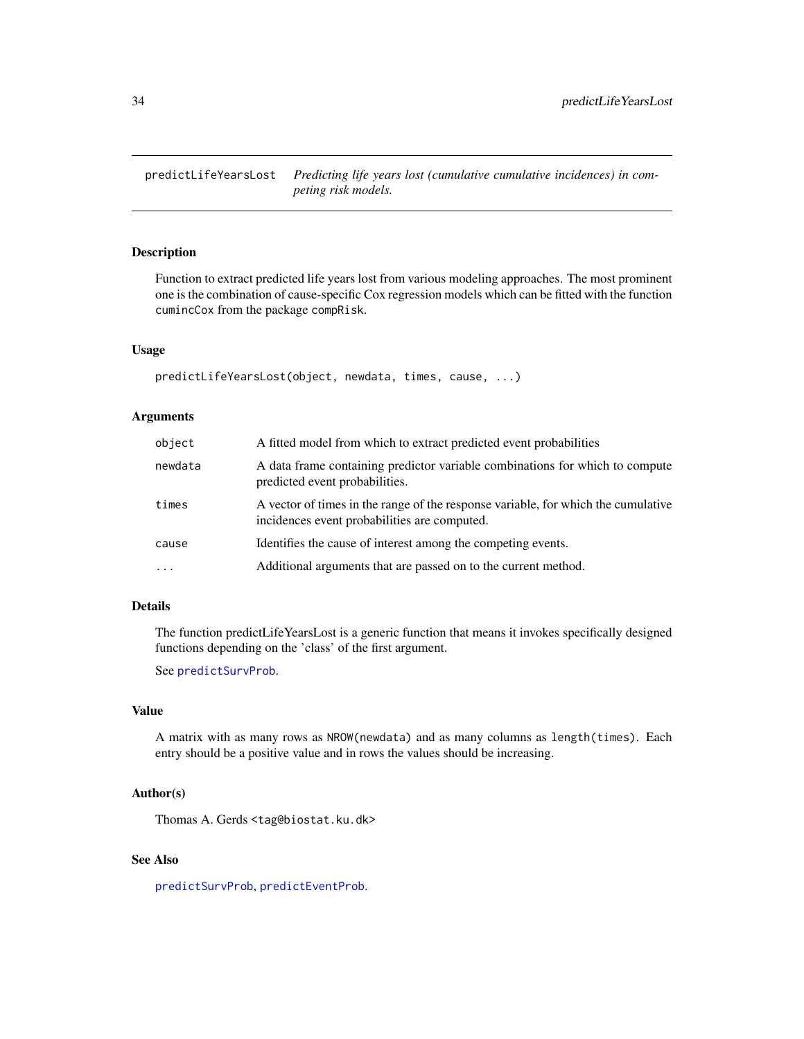<span id="page-33-0"></span>predictLifeYearsLost *Predicting life years lost (cumulative cumulative incidences) in competing risk models.*

# Description

Function to extract predicted life years lost from various modeling approaches. The most prominent one is the combination of cause-specific Cox regression models which can be fitted with the function cumincCox from the package compRisk.

#### Usage

```
predictLifeYearsLost(object, newdata, times, cause, ...)
```
# Arguments

| object    | A fitted model from which to extract predicted event probabilities                                                                |
|-----------|-----------------------------------------------------------------------------------------------------------------------------------|
| newdata   | A data frame containing predictor variable combinations for which to compute<br>predicted event probabilities.                    |
| times     | A vector of times in the range of the response variable, for which the cumulative<br>incidences event probabilities are computed. |
| cause     | Identifies the cause of interest among the competing events.                                                                      |
| $\ddotsc$ | Additional arguments that are passed on to the current method.                                                                    |

# Details

The function predictLifeYearsLost is a generic function that means it invokes specifically designed functions depending on the 'class' of the first argument.

See [predictSurvProb](#page-34-1).

# Value

A matrix with as many rows as NROW(newdata) and as many columns as length(times). Each entry should be a positive value and in rows the values should be increasing.

# Author(s)

Thomas A. Gerds <tag@biostat.ku.dk>

# See Also

[predictSurvProb](#page-34-1), [predictEventProb](#page-31-1).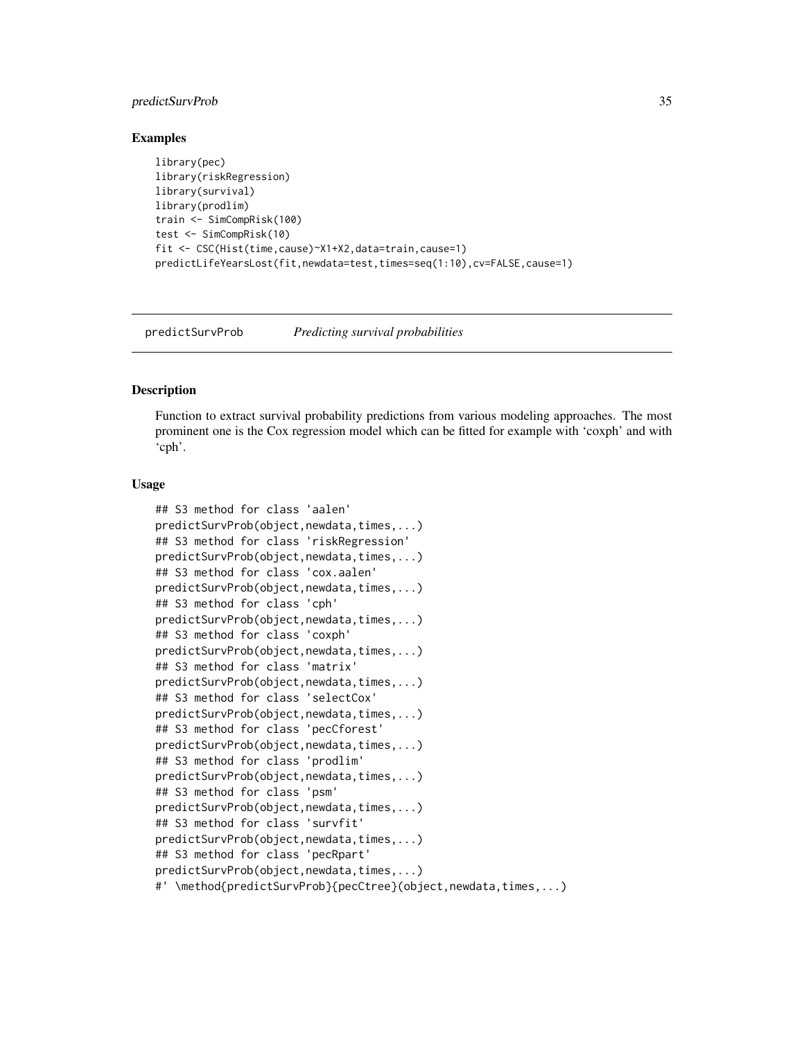# <span id="page-34-0"></span>predictSurvProb 35

# Examples

```
library(pec)
library(riskRegression)
library(survival)
library(prodlim)
train <- SimCompRisk(100)
test <- SimCompRisk(10)
fit <- CSC(Hist(time,cause)~X1+X2,data=train,cause=1)
predictLifeYearsLost(fit,newdata=test,times=seq(1:10),cv=FALSE,cause=1)
```
<span id="page-34-1"></span>predictSurvProb *Predicting survival probabilities*

# **Description**

Function to extract survival probability predictions from various modeling approaches. The most prominent one is the Cox regression model which can be fitted for example with 'coxph' and with 'cph'.

#### Usage

```
## S3 method for class 'aalen'
predictSurvProb(object,newdata,times,...)
## S3 method for class 'riskRegression'
predictSurvProb(object,newdata,times,...)
## S3 method for class 'cox.aalen'
predictSurvProb(object,newdata,times,...)
## S3 method for class 'cph'
predictSurvProb(object,newdata,times,...)
## S3 method for class 'coxph'
predictSurvProb(object,newdata,times,...)
## S3 method for class 'matrix'
predictSurvProb(object,newdata,times,...)
## S3 method for class 'selectCox'
predictSurvProb(object,newdata,times,...)
## S3 method for class 'pecCforest'
predictSurvProb(object,newdata,times,...)
## S3 method for class 'prodlim'
predictSurvProb(object,newdata,times,...)
## S3 method for class 'psm'
predictSurvProb(object,newdata,times,...)
## S3 method for class 'survfit'
predictSurvProb(object,newdata,times,...)
## S3 method for class 'pecRpart'
predictSurvProb(object,newdata,times,...)
#' \method{predictSurvProb}{pecCtree}(object,newdata,times,...)
```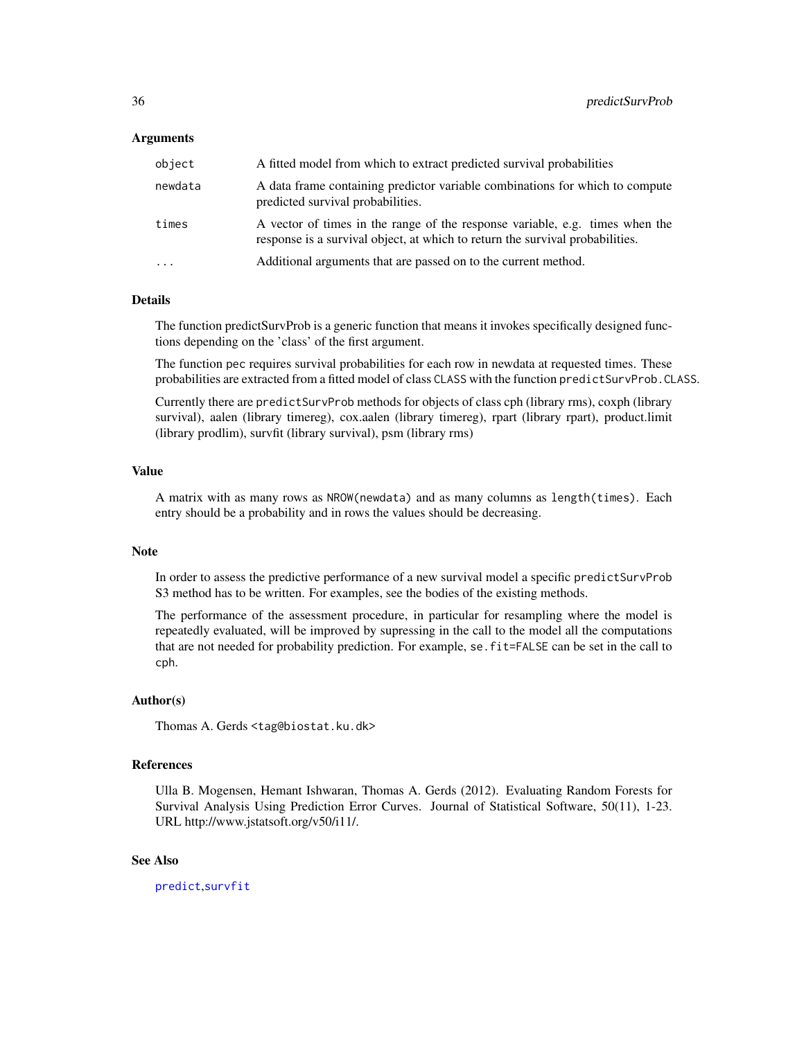#### <span id="page-35-0"></span>Arguments

| object   | A fitted model from which to extract predicted survival probabilities                                                                                         |
|----------|---------------------------------------------------------------------------------------------------------------------------------------------------------------|
| newdata  | A data frame containing predictor variable combinations for which to compute<br>predicted survival probabilities.                                             |
| times    | A vector of times in the range of the response variable, e.g. times when the<br>response is a survival object, at which to return the survival probabilities. |
| $\cdots$ | Additional arguments that are passed on to the current method.                                                                                                |

# Details

The function predictSurvProb is a generic function that means it invokes specifically designed functions depending on the 'class' of the first argument.

The function pec requires survival probabilities for each row in newdata at requested times. These probabilities are extracted from a fitted model of class CLASS with the function predictSurvProb. CLASS.

Currently there are predictSurvProb methods for objects of class cph (library rms), coxph (library survival), aalen (library timereg), cox.aalen (library timereg), rpart (library rpart), product.limit (library prodlim), survfit (library survival), psm (library rms)

# Value

A matrix with as many rows as NROW(newdata) and as many columns as length(times). Each entry should be a probability and in rows the values should be decreasing.

#### Note

In order to assess the predictive performance of a new survival model a specific predictSurvProb S3 method has to be written. For examples, see the bodies of the existing methods.

The performance of the assessment procedure, in particular for resampling where the model is repeatedly evaluated, will be improved by supressing in the call to the model all the computations that are not needed for probability prediction. For example, se.fit=FALSE can be set in the call to cph.

# Author(s)

Thomas A. Gerds <tag@biostat.ku.dk>

#### References

Ulla B. Mogensen, Hemant Ishwaran, Thomas A. Gerds (2012). Evaluating Random Forests for Survival Analysis Using Prediction Error Curves. Journal of Statistical Software, 50(11), 1-23. URL http://www.jstatsoft.org/v50/i11/.

#### See Also

[predict](#page-0-0),[survfit](#page-0-0)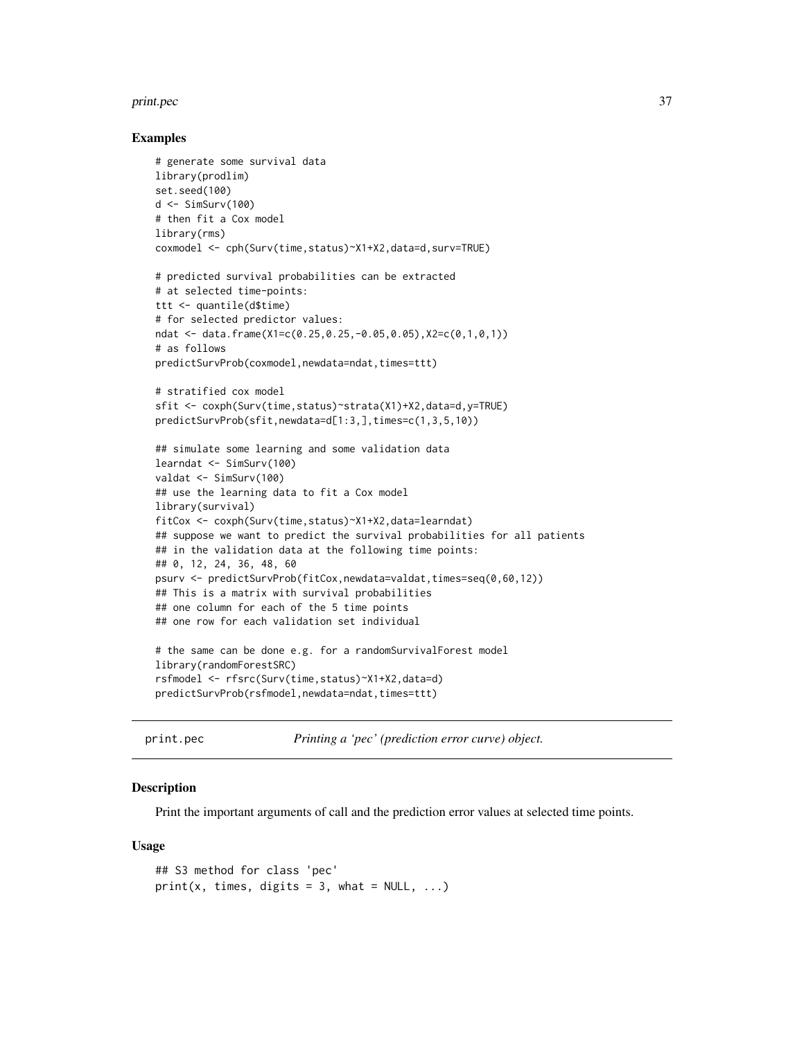#### <span id="page-36-0"></span>print.pec 37

#### Examples

```
# generate some survival data
library(prodlim)
set.seed(100)
d <- SimSurv(100)
# then fit a Cox model
library(rms)
coxmodel <- cph(Surv(time,status)~X1+X2,data=d,surv=TRUE)
# predicted survival probabilities can be extracted
# at selected time-points:
ttt <- quantile(d$time)
# for selected predictor values:
ndat <- data.frame(X1=c(0.25,0.25,-0.05,0.05),X2=c(0,1,0,1))
# as follows
predictSurvProb(coxmodel,newdata=ndat,times=ttt)
# stratified cox model
sfit <- coxph(Surv(time,status)~strata(X1)+X2,data=d,y=TRUE)
predictSurvProb(sfit,newdata=d[1:3,],times=c(1,3,5,10))
## simulate some learning and some validation data
learndat <- SimSurv(100)
valdat <- SimSurv(100)
## use the learning data to fit a Cox model
library(survival)
fitCox <- coxph(Surv(time,status)~X1+X2,data=learndat)
## suppose we want to predict the survival probabilities for all patients
## in the validation data at the following time points:
## 0, 12, 24, 36, 48, 60
psurv <- predictSurvProb(fitCox,newdata=valdat,times=seq(0,60,12))
## This is a matrix with survival probabilities
## one column for each of the 5 time points
## one row for each validation set individual
# the same can be done e.g. for a randomSurvivalForest model
library(randomForestSRC)
rsfmodel <- rfsrc(Surv(time,status)~X1+X2,data=d)
predictSurvProb(rsfmodel,newdata=ndat,times=ttt)
```
print.pec *Printing a 'pec' (prediction error curve) object.*

#### <span id="page-36-1"></span>**Description**

Print the important arguments of call and the prediction error values at selected time points.

#### Usage

```
## S3 method for class 'pec'
print(x, times, digits = 3, what = NULL, ...)
```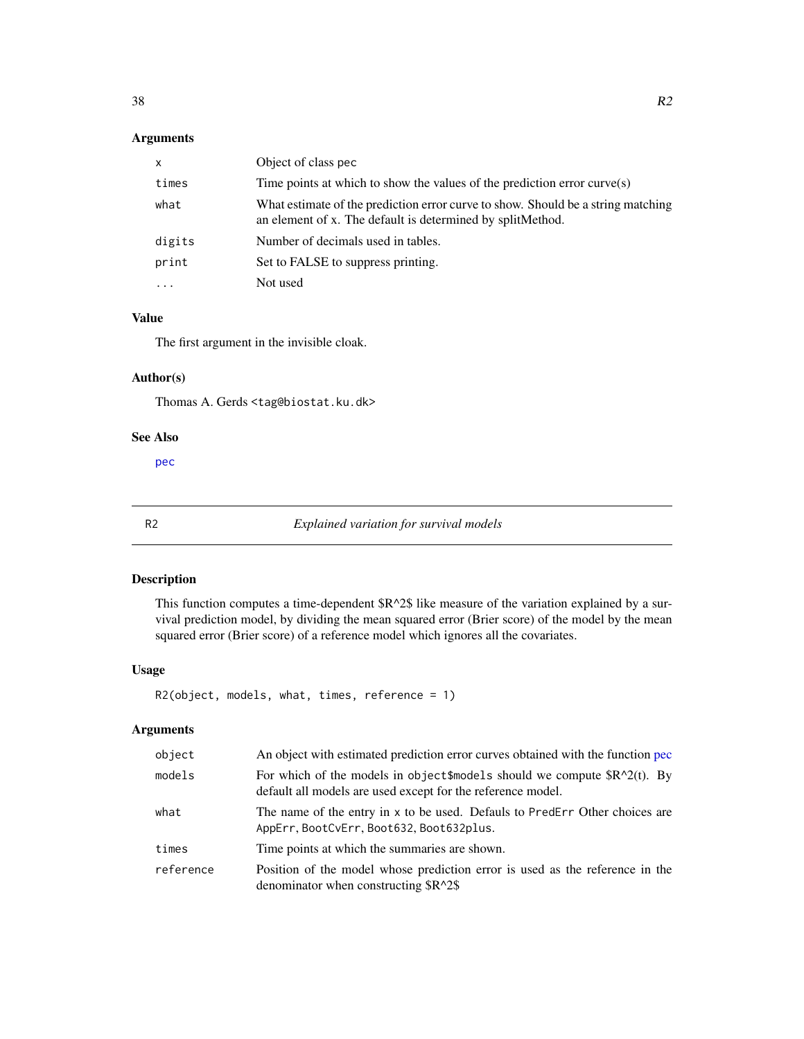# <span id="page-37-0"></span>Arguments

| $\mathsf{x}$ | Object of class pec                                                                                                                            |
|--------------|------------------------------------------------------------------------------------------------------------------------------------------------|
| times        | Time points at which to show the values of the prediction error curve $(s)$                                                                    |
| what         | What estimate of the prediction error curve to show. Should be a string matching<br>an element of x. The default is determined by splitMethod. |
| digits       | Number of decimals used in tables.                                                                                                             |
| print        | Set to FALSE to suppress printing.                                                                                                             |
| $\cdots$     | Not used                                                                                                                                       |

# Value

The first argument in the invisible cloak.

# Author(s)

Thomas A. Gerds <tag@biostat.ku.dk>

# See Also

[pec](#page-16-1)

<span id="page-37-1"></span>

| R2 | Explained variation for survival models |  |  |
|----|-----------------------------------------|--|--|
|    |                                         |  |  |

# Description

This function computes a time-dependent \$R^2\$ like measure of the variation explained by a survival prediction model, by dividing the mean squared error (Brier score) of the model by the mean squared error (Brier score) of a reference model which ignores all the covariates.

# Usage

R2(object, models, what, times, reference = 1)

# Arguments

| object    | An object with estimated prediction error curves obtained with the function pec                                                                    |
|-----------|----------------------------------------------------------------------------------------------------------------------------------------------------|
| models    | For which of the models in object \$models should we compute $\mathbb{R}^2(t)$ . By<br>default all models are used except for the reference model. |
| what      | The name of the entry in x to be used. Defauls to PredErr Other choices are<br>AppErr, BootCvErr, Boot632, Boot632plus.                            |
| times     | Time points at which the summaries are shown.                                                                                                      |
| reference | Position of the model whose prediction error is used as the reference in the<br>denominator when constructing $R^2$                                |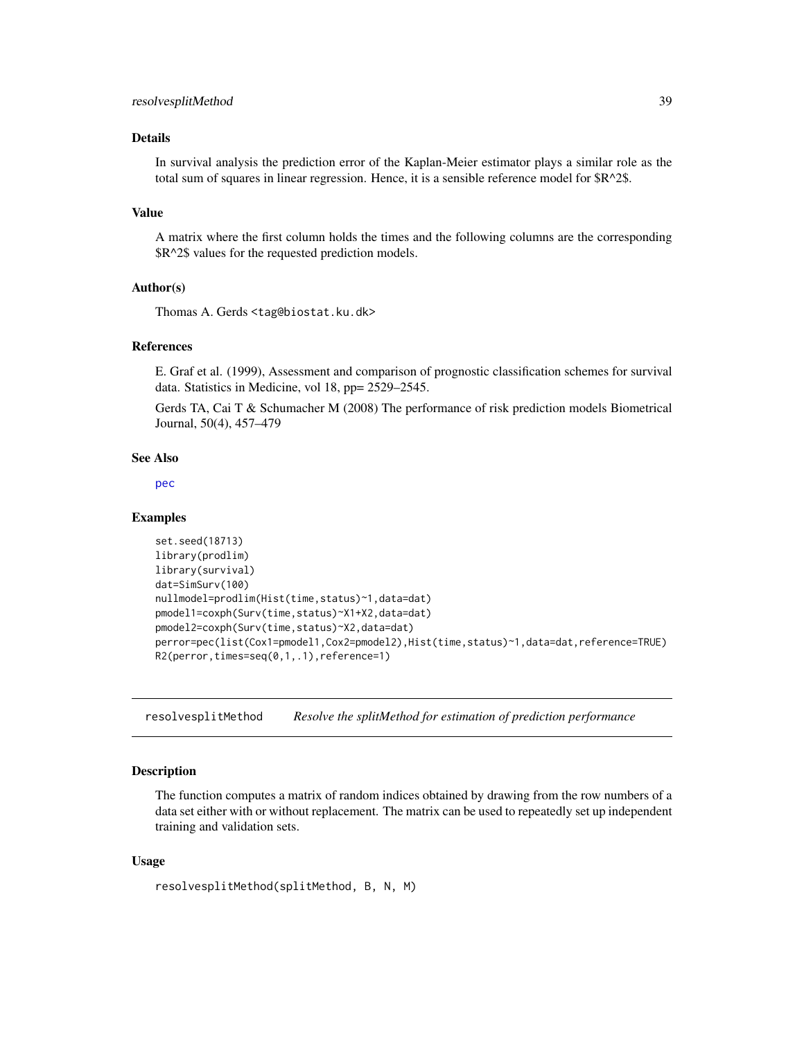# <span id="page-38-0"></span>Details

In survival analysis the prediction error of the Kaplan-Meier estimator plays a similar role as the total sum of squares in linear regression. Hence, it is a sensible reference model for \$R^2\$.

#### Value

A matrix where the first column holds the times and the following columns are the corresponding \$R^2\$ values for the requested prediction models.

# Author(s)

Thomas A. Gerds <tag@biostat.ku.dk>

# References

E. Graf et al. (1999), Assessment and comparison of prognostic classification schemes for survival data. Statistics in Medicine, vol 18, pp= 2529–2545.

Gerds TA, Cai T & Schumacher M (2008) The performance of risk prediction models Biometrical Journal, 50(4), 457–479

#### See Also

[pec](#page-16-1)

#### Examples

```
set.seed(18713)
library(prodlim)
library(survival)
dat=SimSurv(100)
nullmodel=prodlim(Hist(time,status)~1,data=dat)
pmodel1=coxph(Surv(time,status)~X1+X2,data=dat)
pmodel2=coxph(Surv(time,status)~X2,data=dat)
perror=pec(list(Cox1=pmodel1,Cox2=pmodel2),Hist(time,status)~1,data=dat,reference=TRUE)
R2(perror,times=seq(0,1,.1),reference=1)
```
resolvesplitMethod *Resolve the splitMethod for estimation of prediction performance*

# Description

The function computes a matrix of random indices obtained by drawing from the row numbers of a data set either with or without replacement. The matrix can be used to repeatedly set up independent training and validation sets.

#### Usage

```
resolvesplitMethod(splitMethod, B, N, M)
```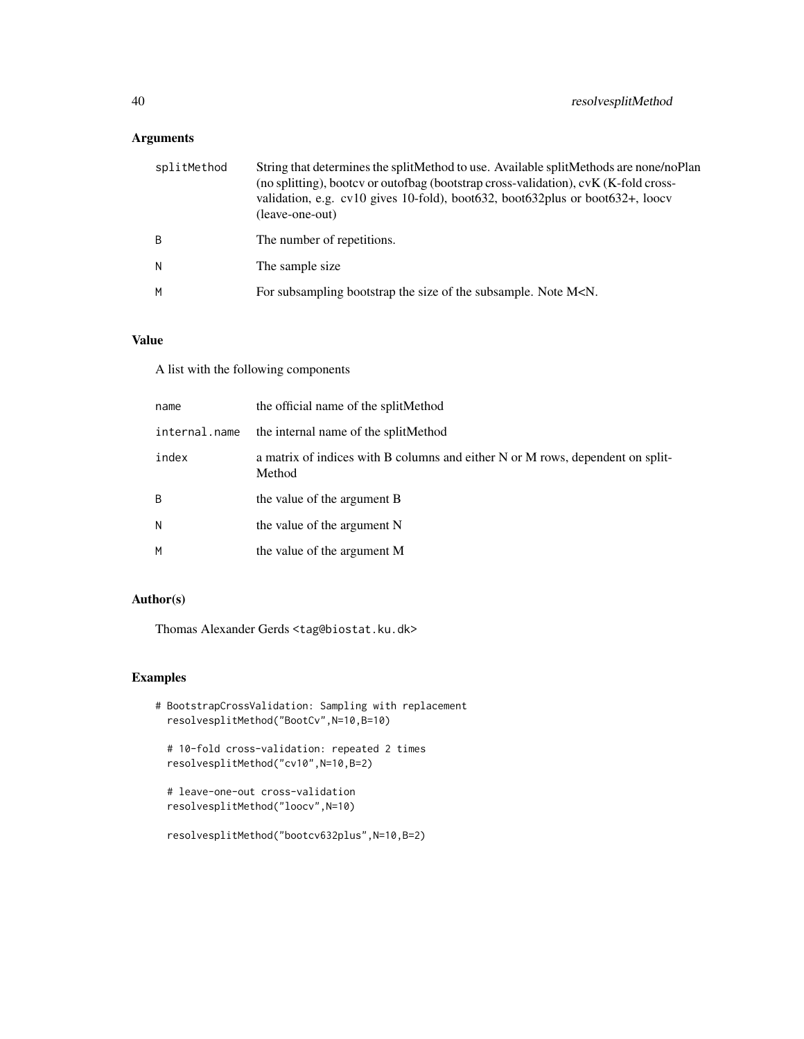# Arguments

| splitMethod | String that determines the splitMethod to use. Available splitMethods are none/noPlan<br>(no splitting), bootcy or outofbag (bootstrap cross-validation), cvK (K-fold cross-<br>validation, e.g. $cv10$ gives 10-fold), boot632, boot632plus or boot632+, loocv<br>(leave-one-out) |
|-------------|------------------------------------------------------------------------------------------------------------------------------------------------------------------------------------------------------------------------------------------------------------------------------------|
| B           | The number of repetitions.                                                                                                                                                                                                                                                         |
| N           | The sample size.                                                                                                                                                                                                                                                                   |
| M           | For subsampling bootstrap the size of the subsample. Note M <n.< td=""></n.<>                                                                                                                                                                                                      |

# Value

A list with the following components

| name          | the official name of the splitMethod                                                     |
|---------------|------------------------------------------------------------------------------------------|
| internal.name | the internal name of the splitMethod                                                     |
| index         | a matrix of indices with B columns and either N or M rows, dependent on split-<br>Method |
| B             | the value of the argument B                                                              |
| Ν             | the value of the argument N                                                              |
| M             | the value of the argument M                                                              |

# Author(s)

Thomas Alexander Gerds <tag@biostat.ku.dk>

# Examples

```
# BootstrapCrossValidation: Sampling with replacement
 resolvesplitMethod("BootCv",N=10,B=10)
 # 10-fold cross-validation: repeated 2 times
```

```
resolvesplitMethod("cv10",N=10,B=2)
```

```
# leave-one-out cross-validation
resolvesplitMethod("loocv",N=10)
```
resolvesplitMethod("bootcv632plus",N=10,B=2)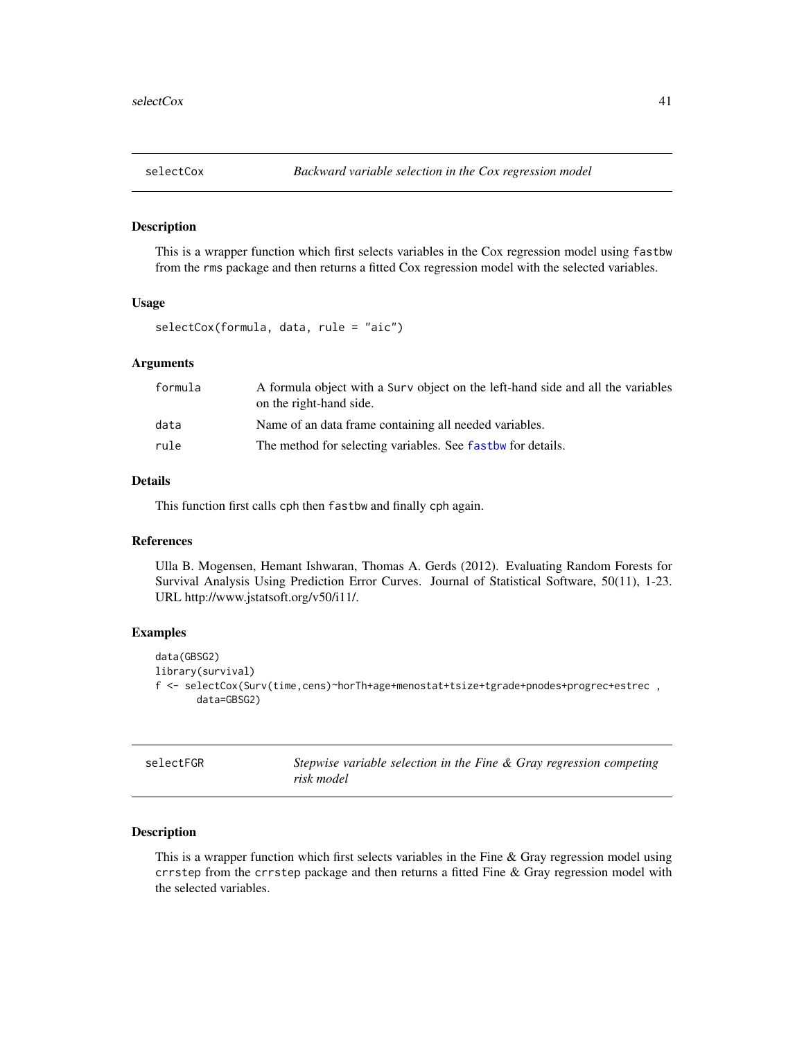<span id="page-40-0"></span>

#### Description

This is a wrapper function which first selects variables in the Cox regression model using fastbw from the rms package and then returns a fitted Cox regression model with the selected variables.

# Usage

selectCox(formula, data, rule = "aic")

## **Arguments**

| formula | A formula object with a Surv object on the left-hand side and all the variables<br>on the right-hand side. |
|---------|------------------------------------------------------------------------------------------------------------|
| data    | Name of an data frame containing all needed variables.                                                     |
| rule    | The method for selecting variables. See fast by for details.                                               |

# Details

This function first calls cph then fastbw and finally cph again.

# References

Ulla B. Mogensen, Hemant Ishwaran, Thomas A. Gerds (2012). Evaluating Random Forests for Survival Analysis Using Prediction Error Curves. Journal of Statistical Software, 50(11), 1-23. URL http://www.jstatsoft.org/v50/i11/.

#### Examples

```
data(GBSG2)
library(survival)
f <- selectCox(Surv(time,cens)~horTh+age+menostat+tsize+tgrade+pnodes+progrec+estrec ,
       data=GBSG2)
```

| selectFGR | Stepwise variable selection in the Fine & Gray regression competing |
|-----------|---------------------------------------------------------------------|
|           | risk model                                                          |

# Description

This is a wrapper function which first selects variables in the Fine & Gray regression model using crrstep from the crrstep package and then returns a fitted Fine & Gray regression model with the selected variables.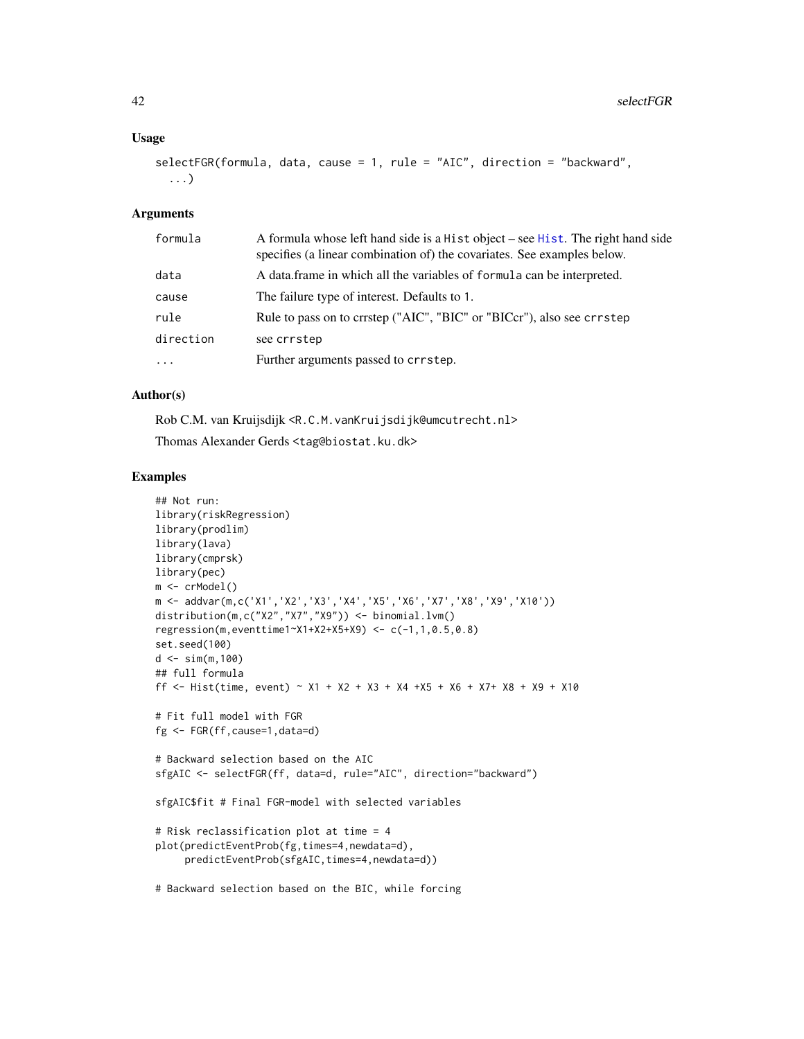# <span id="page-41-0"></span>Usage

```
selectFGR(formula, data, cause = 1, rule = "AIC", direction = "backward",
  ...)
```
#### Arguments

| formula   | A formula whose left hand side is a Hist object – see Hist. The right hand side<br>specifies (a linear combination of) the covariates. See examples below. |
|-----------|------------------------------------------------------------------------------------------------------------------------------------------------------------|
| data      | A data frame in which all the variables of formula can be interpreted.                                                                                     |
| cause     | The failure type of interest. Defaults to 1.                                                                                                               |
| rule      | Rule to pass on to cristep ("AIC", "BIC" or "BICcr"), also see cristep                                                                                     |
| direction | see crrstep                                                                                                                                                |
| $\cdots$  | Further arguments passed to crrstep.                                                                                                                       |
|           |                                                                                                                                                            |

## Author(s)

Rob C.M. van Kruijsdijk <R.C.M.vanKruijsdijk@umcutrecht.nl>

Thomas Alexander Gerds <tag@biostat.ku.dk>

#### Examples

```
## Not run:
library(riskRegression)
library(prodlim)
library(lava)
library(cmprsk)
library(pec)
m <- crModel()
m <- addvar(m,c('X1','X2','X3','X4','X5','X6','X7','X8','X9','X10'))
distribution(m,c("X2","X7","X9")) <- binomial.lvm()
regression(m,eventtime1~X1+X2+X5+X9) <- c(-1,1,0.5,0.8)
set.seed(100)
d < -\sin(m, 100)## full formula
ff <- Hist(time, event) ~ X1 + X2 + X3 + X4 +X5 + X6 + X7 + X8 + X9 + X10# Fit full model with FGR
fg <- FGR(ff,cause=1,data=d)
# Backward selection based on the AIC
sfgAIC <- selectFGR(ff, data=d, rule="AIC", direction="backward")
sfgAIC$fit # Final FGR-model with selected variables
# Risk reclassification plot at time = 4
plot(predictEventProb(fg,times=4,newdata=d),
     predictEventProb(sfgAIC,times=4,newdata=d))
# Backward selection based on the BIC, while forcing
```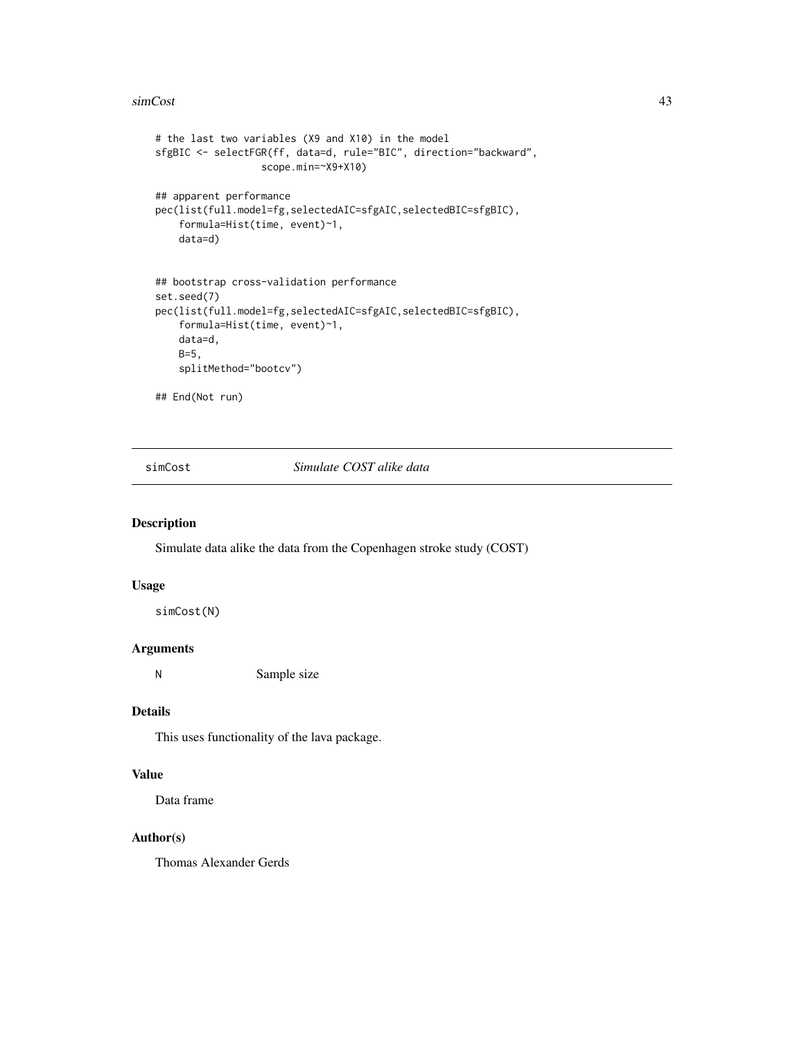#### <span id="page-42-0"></span>simCost 43

```
# the last two variables (X9 and X10) in the model
sfgBIC <- selectFGR(ff, data=d, rule="BIC", direction="backward",
                  scope.min=~X9+X10)
## apparent performance
pec(list(full.model=fg,selectedAIC=sfgAIC,selectedBIC=sfgBIC),
    formula=Hist(time, event)~1,
   data=d)
## bootstrap cross-validation performance
set.seed(7)
pec(list(full.model=fg,selectedAIC=sfgAIC,selectedBIC=sfgBIC),
    formula=Hist(time, event)~1,
   data=d,
   B=5,splitMethod="bootcv")
## End(Not run)
```
simCost *Simulate COST alike data*

#### Description

Simulate data alike the data from the Copenhagen stroke study (COST)

# Usage

simCost(N)

# Arguments

N Sample size

#### Details

This uses functionality of the lava package.

# Value

Data frame

# Author(s)

Thomas Alexander Gerds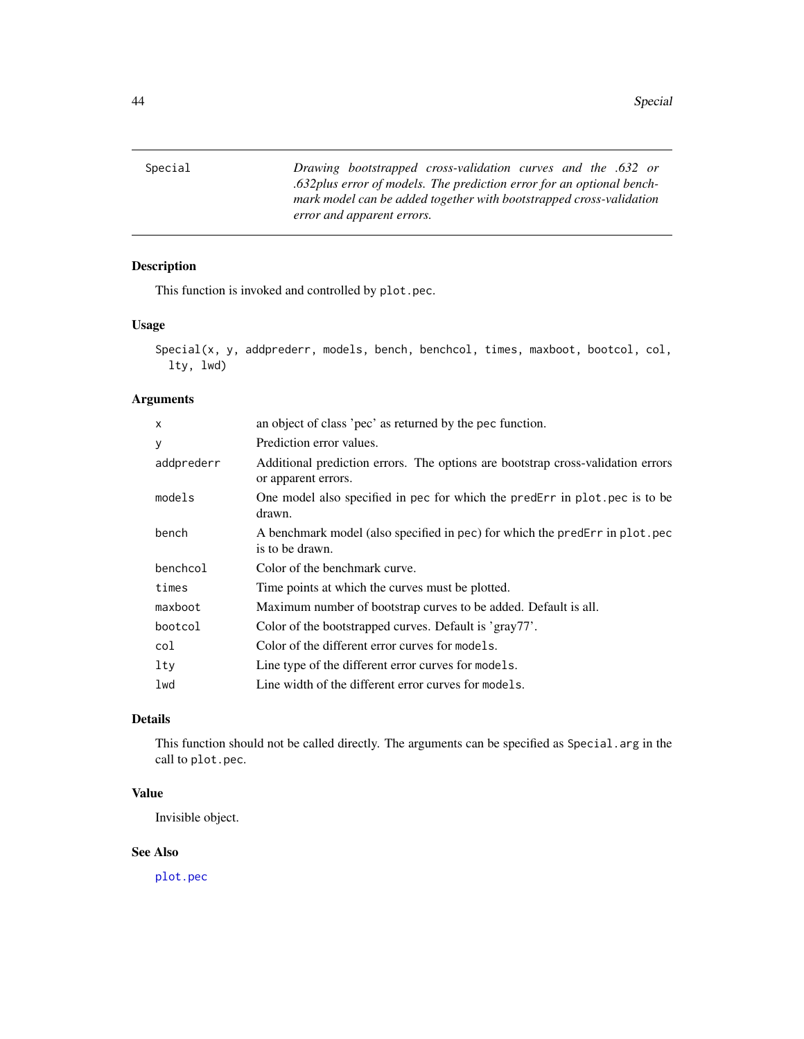<span id="page-43-1"></span><span id="page-43-0"></span>Special *Drawing bootstrapped cross-validation curves and the .632 or .632plus error of models. The prediction error for an optional benchmark model can be added together with bootstrapped cross-validation error and apparent errors.*

# Description

This function is invoked and controlled by plot.pec.

#### Usage

```
Special(x, y, addprederr, models, bench, benchcol, times, maxboot, bootcol, col,
 lty, lwd)
```
# Arguments

| $\mathsf{x}$ | an object of class 'pec' as returned by the pec function.                                              |
|--------------|--------------------------------------------------------------------------------------------------------|
| У            | Prediction error values.                                                                               |
| addprederr   | Additional prediction errors. The options are bootstrap cross-validation errors<br>or apparent errors. |
| models       | One model also specified in pec for which the prederse in plot pec is to be<br>drawn.                  |
| bench        | A benchmark model (also specified in pec) for which the predErr in plot. pec<br>is to be drawn.        |
| benchcol     | Color of the benchmark curve.                                                                          |
| times        | Time points at which the curves must be plotted.                                                       |
| maxboot      | Maximum number of bootstrap curves to be added. Default is all.                                        |
| bootcol      | Color of the bootstrapped curves. Default is 'gray77'.                                                 |
| col          | Color of the different error curves for models.                                                        |
| lty          | Line type of the different error curves for models.                                                    |
| lwd          | Line width of the different error curves for models.                                                   |
|              |                                                                                                        |

# Details

This function should not be called directly. The arguments can be specified as Special.arg in the call to plot.pec.

# Value

Invisible object.

# See Also

[plot.pec](#page-26-1)